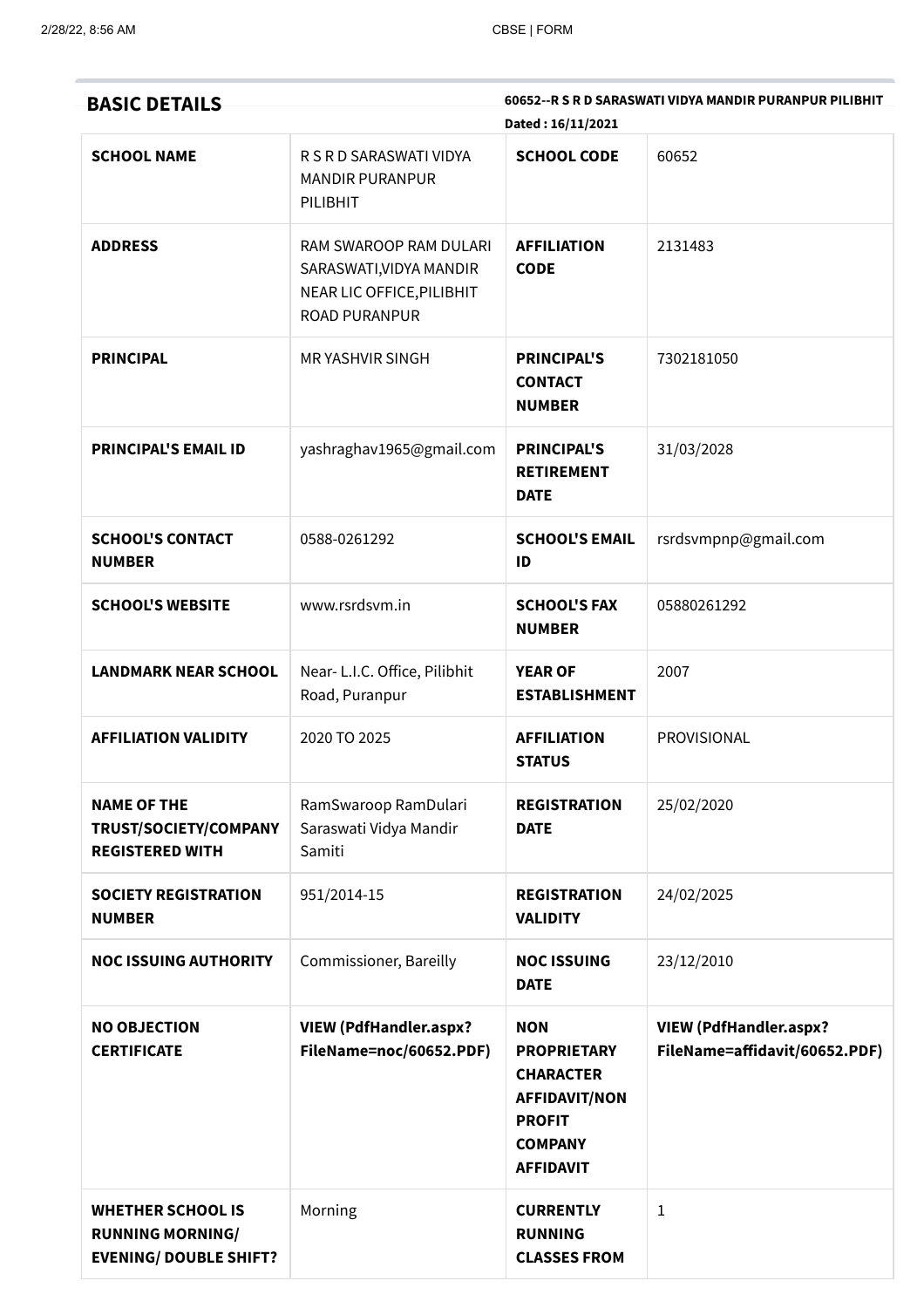| <b>BASIC DETAILS</b>                                                                 |                                                                                                        | Dated: 16/11/2021                                                                                                                   | 60652--R S R D SARASWATI VIDYA MANDIR PURANPUR PILIBHIT        |
|--------------------------------------------------------------------------------------|--------------------------------------------------------------------------------------------------------|-------------------------------------------------------------------------------------------------------------------------------------|----------------------------------------------------------------|
| <b>SCHOOL NAME</b>                                                                   | R S R D SARASWATI VIDYA<br><b>MANDIR PURANPUR</b><br>PILIBHIT                                          | <b>SCHOOL CODE</b>                                                                                                                  | 60652                                                          |
| <b>ADDRESS</b>                                                                       | RAM SWAROOP RAM DULARI<br>SARASWATI, VIDYA MANDIR<br>NEAR LIC OFFICE, PILIBHIT<br><b>ROAD PURANPUR</b> | <b>AFFILIATION</b><br><b>CODE</b>                                                                                                   | 2131483                                                        |
| <b>PRINCIPAL</b>                                                                     | <b>MRYASHVIR SINGH</b>                                                                                 | <b>PRINCIPAL'S</b><br><b>CONTACT</b><br><b>NUMBER</b>                                                                               | 7302181050                                                     |
| <b>PRINCIPAL'S EMAIL ID</b>                                                          | yashraghav1965@gmail.com                                                                               | <b>PRINCIPAL'S</b><br><b>RETIREMENT</b><br><b>DATE</b>                                                                              | 31/03/2028                                                     |
| <b>SCHOOL'S CONTACT</b><br><b>NUMBER</b>                                             | 0588-0261292                                                                                           | <b>SCHOOL'S EMAIL</b><br>ID                                                                                                         | rsrdsvmpnp@gmail.com                                           |
| <b>SCHOOL'S WEBSITE</b>                                                              | www.rsrdsvm.in                                                                                         | <b>SCHOOL'S FAX</b><br><b>NUMBER</b>                                                                                                | 05880261292                                                    |
| <b>LANDMARK NEAR SCHOOL</b>                                                          | Near- L.I.C. Office, Pilibhit<br>Road, Puranpur                                                        | <b>YEAR OF</b><br><b>ESTABLISHMENT</b>                                                                                              | 2007                                                           |
| <b>AFFILIATION VALIDITY</b>                                                          | 2020 TO 2025                                                                                           | <b>AFFILIATION</b><br><b>STATUS</b>                                                                                                 | PROVISIONAL                                                    |
| <b>NAME OF THE</b><br>TRUST/SOCIETY/COMPANY<br><b>REGISTERED WITH</b>                | RamSwaroop RamDulari<br>Saraswati Vidya Mandir<br>Samiti                                               | <b>REGISTRATION</b><br><b>DATE</b>                                                                                                  | 25/02/2020                                                     |
| <b>SOCIETY REGISTRATION</b><br><b>NUMBER</b>                                         | 951/2014-15                                                                                            | <b>REGISTRATION</b><br><b>VALIDITY</b>                                                                                              | 24/02/2025                                                     |
| <b>NOC ISSUING AUTHORITY</b>                                                         | Commissioner, Bareilly                                                                                 | <b>NOC ISSUING</b><br><b>DATE</b>                                                                                                   | 23/12/2010                                                     |
| <b>NO OBJECTION</b><br><b>CERTIFICATE</b>                                            | <b>VIEW (PdfHandler.aspx?</b><br>FileName=noc/60652.PDF)                                               | <b>NON</b><br><b>PROPRIETARY</b><br><b>CHARACTER</b><br><b>AFFIDAVIT/NON</b><br><b>PROFIT</b><br><b>COMPANY</b><br><b>AFFIDAVIT</b> | <b>VIEW (PdfHandler.aspx?</b><br>FileName=affidavit/60652.PDF) |
| <b>WHETHER SCHOOL IS</b><br><b>RUNNING MORNING/</b><br><b>EVENING/ DOUBLE SHIFT?</b> | Morning                                                                                                | <b>CURRENTLY</b><br><b>RUNNING</b><br><b>CLASSES FROM</b>                                                                           | $\mathbf{1}$                                                   |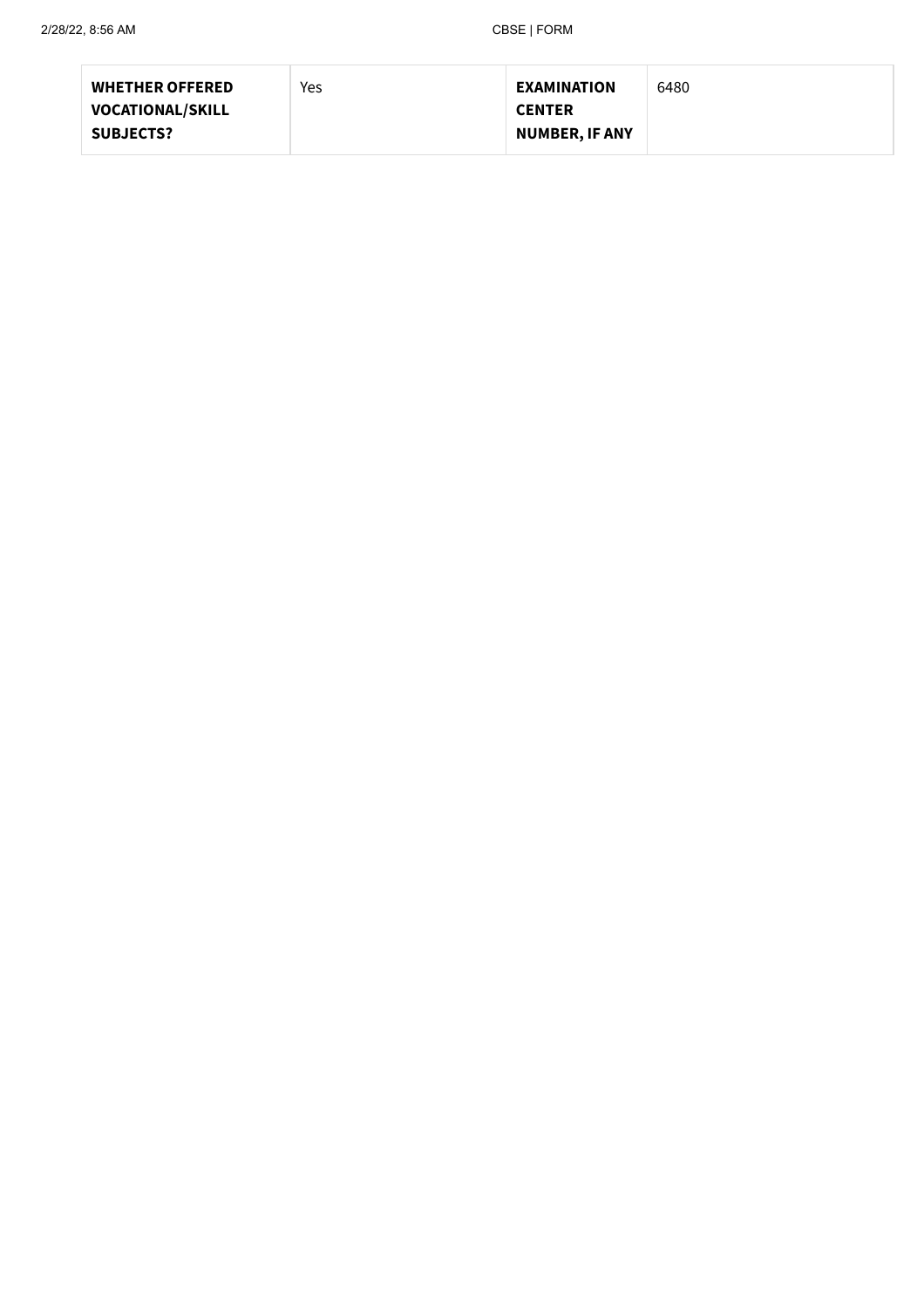| <b>WHETHER OFFERED</b>  | Yes | <b>EXAMINATION</b>    | 6480 |
|-------------------------|-----|-----------------------|------|
| <b>VOCATIONAL/SKILL</b> |     | <b>CENTER</b>         |      |
| <b>SUBJECTS?</b>        |     | <b>NUMBER, IF ANY</b> |      |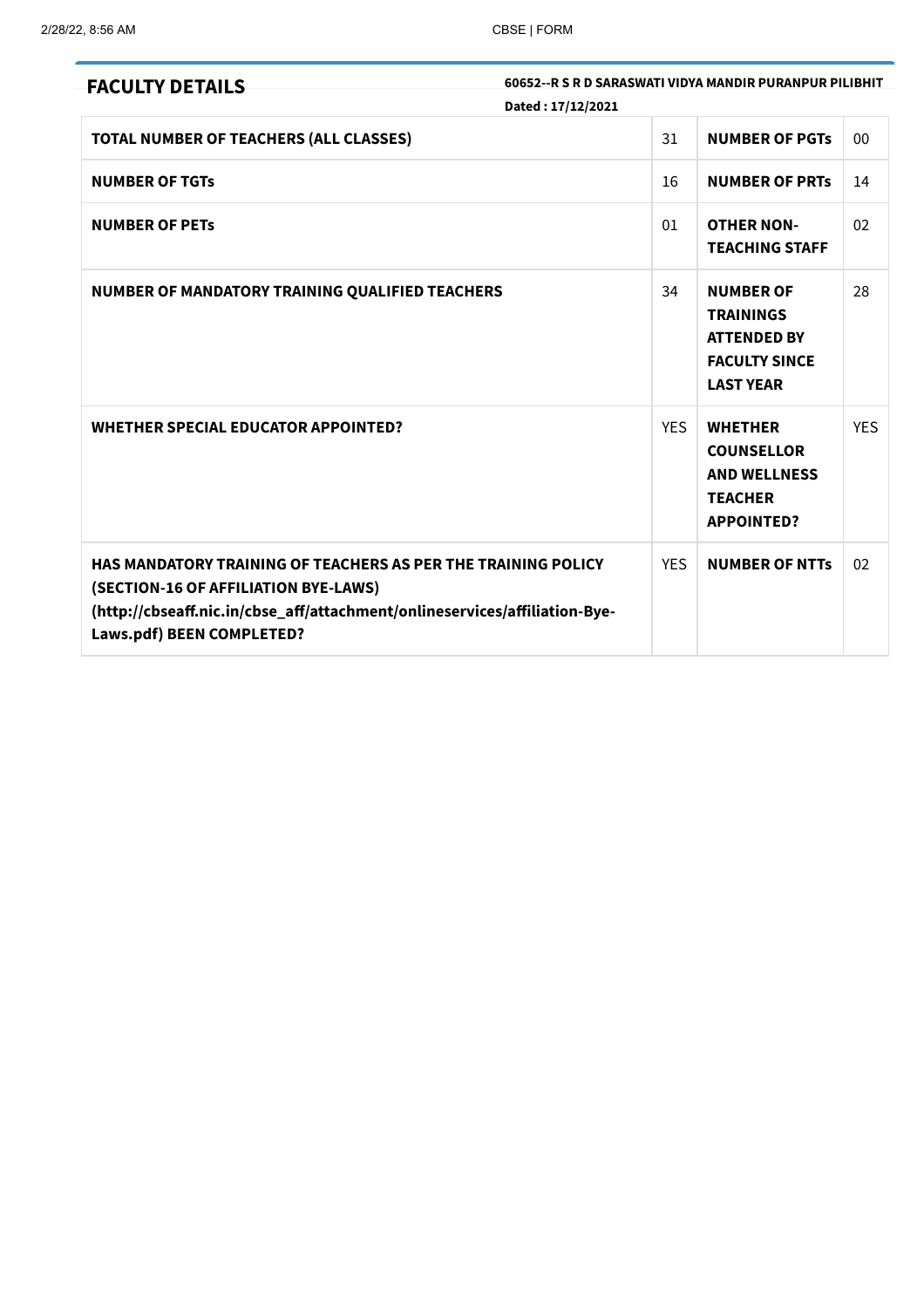| 60652--R S R D SARASWATI VIDYA MANDIR PURANPUR PILIBHIT<br><b>FACULTY DETAILS</b><br>Dated: 17/12/2021                                                                                                                  |            |                                                                                                        |            |
|-------------------------------------------------------------------------------------------------------------------------------------------------------------------------------------------------------------------------|------------|--------------------------------------------------------------------------------------------------------|------------|
| TOTAL NUMBER OF TEACHERS (ALL CLASSES)                                                                                                                                                                                  | 31         | <b>NUMBER OF PGTS</b>                                                                                  | 00         |
| <b>NUMBER OF TGTS</b>                                                                                                                                                                                                   | 16         | <b>NUMBER OF PRTS</b>                                                                                  | 14         |
| <b>NUMBER OF PETS</b>                                                                                                                                                                                                   | 01         | <b>OTHER NON-</b><br><b>TEACHING STAFF</b>                                                             | 02         |
| NUMBER OF MANDATORY TRAINING QUALIFIED TEACHERS                                                                                                                                                                         | 34         | <b>NUMBER OF</b><br><b>TRAININGS</b><br><b>ATTENDED BY</b><br><b>FACULTY SINCE</b><br><b>LAST YEAR</b> | 28         |
| <b>WHETHER SPECIAL EDUCATOR APPOINTED?</b>                                                                                                                                                                              | <b>YES</b> | <b>WHETHER</b><br><b>COUNSELLOR</b><br><b>AND WELLNESS</b><br><b>TEACHER</b><br><b>APPOINTED?</b>      | <b>YES</b> |
| <b>HAS MANDATORY TRAINING OF TEACHERS AS PER THE TRAINING POLICY</b><br>(SECTION-16 OF AFFILIATION BYE-LAWS)<br>(http://cbseaff.nic.in/cbse_aff/attachment/onlineservices/affiliation-Bye-<br>Laws.pdf) BEEN COMPLETED? | <b>YES</b> | <b>NUMBER OF NTTs</b>                                                                                  | 02         |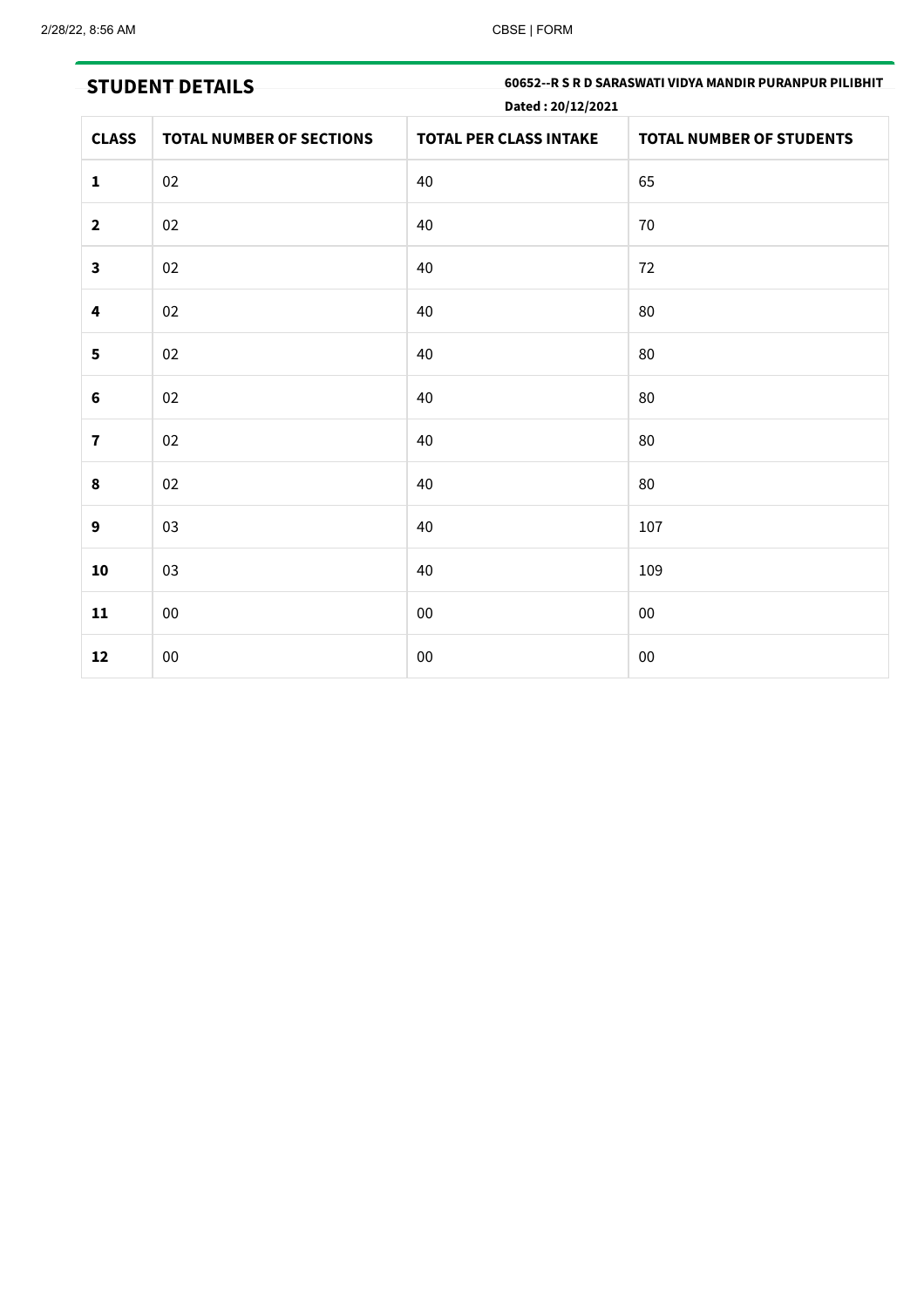# STUDENT DETAILS **STUDENT BETAILS** 60652--R S R D SARASWATI VIDYA MANDIR PURANPUR PILIBHIT Dated : 20/12/2021

| <b>CLASS</b>            | <b>TOTAL NUMBER OF SECTIONS</b> | <b>TOTAL PER CLASS INTAKE</b> | <b>TOTAL NUMBER OF STUDENTS</b> |
|-------------------------|---------------------------------|-------------------------------|---------------------------------|
| $\mathbf{1}$            | 02                              | 40                            | 65                              |
| $\mathbf{2}$            | $02\,$                          | 40                            | 70                              |
| $\overline{\mathbf{3}}$ | 02                              | 40                            | 72                              |
| $\overline{\mathbf{4}}$ | 02                              | 40                            | 80                              |
| 5                       | 02                              | 40                            | 80                              |
| $\bf 6$                 | 02                              | 40                            | 80                              |
| $\overline{\mathbf{7}}$ | 02                              | 40                            | 80                              |
| $\pmb{8}$               | 02                              | 40                            | 80                              |
| $\boldsymbol{9}$        | 03                              | 40                            | 107                             |
| 10                      | 03                              | 40                            | 109                             |
| 11                      | ${\bf 00}$                      | ${\bf 00}$                    | $00\,$                          |
| 12                      | $00\,$                          | ${\bf 00}$                    | $00\,$                          |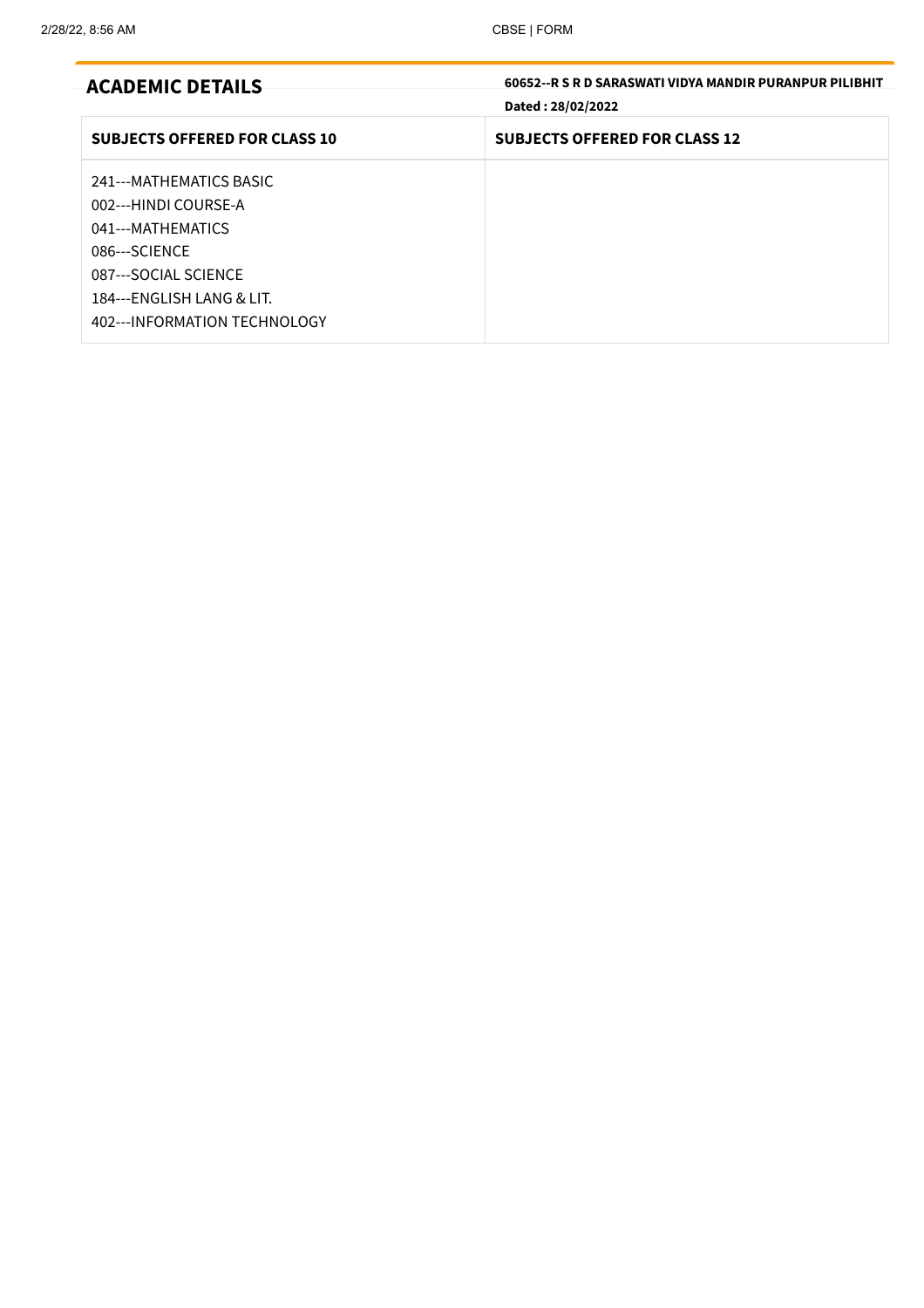| <b>ACADEMIC DETAILS</b>                                                                                                                                                      | 60652--R S R D SARASWATI VIDYA MANDIR PURANPUR PILIBHIT<br>Dated: 28/02/2022 |
|------------------------------------------------------------------------------------------------------------------------------------------------------------------------------|------------------------------------------------------------------------------|
| <b>SUBJECTS OFFERED FOR CLASS 10</b>                                                                                                                                         | <b>SUBJECTS OFFERED FOR CLASS 12</b>                                         |
| 241--- MATHEMATICS BASIC<br>002---HINDI COURSE-A<br>041---MATHEMATICS<br>086---SCIFNCF<br>087---SOCIAL SCIENCE<br>184---ENGLISH LANG & LIT.<br>402--- INFORMATION TECHNOLOGY |                                                                              |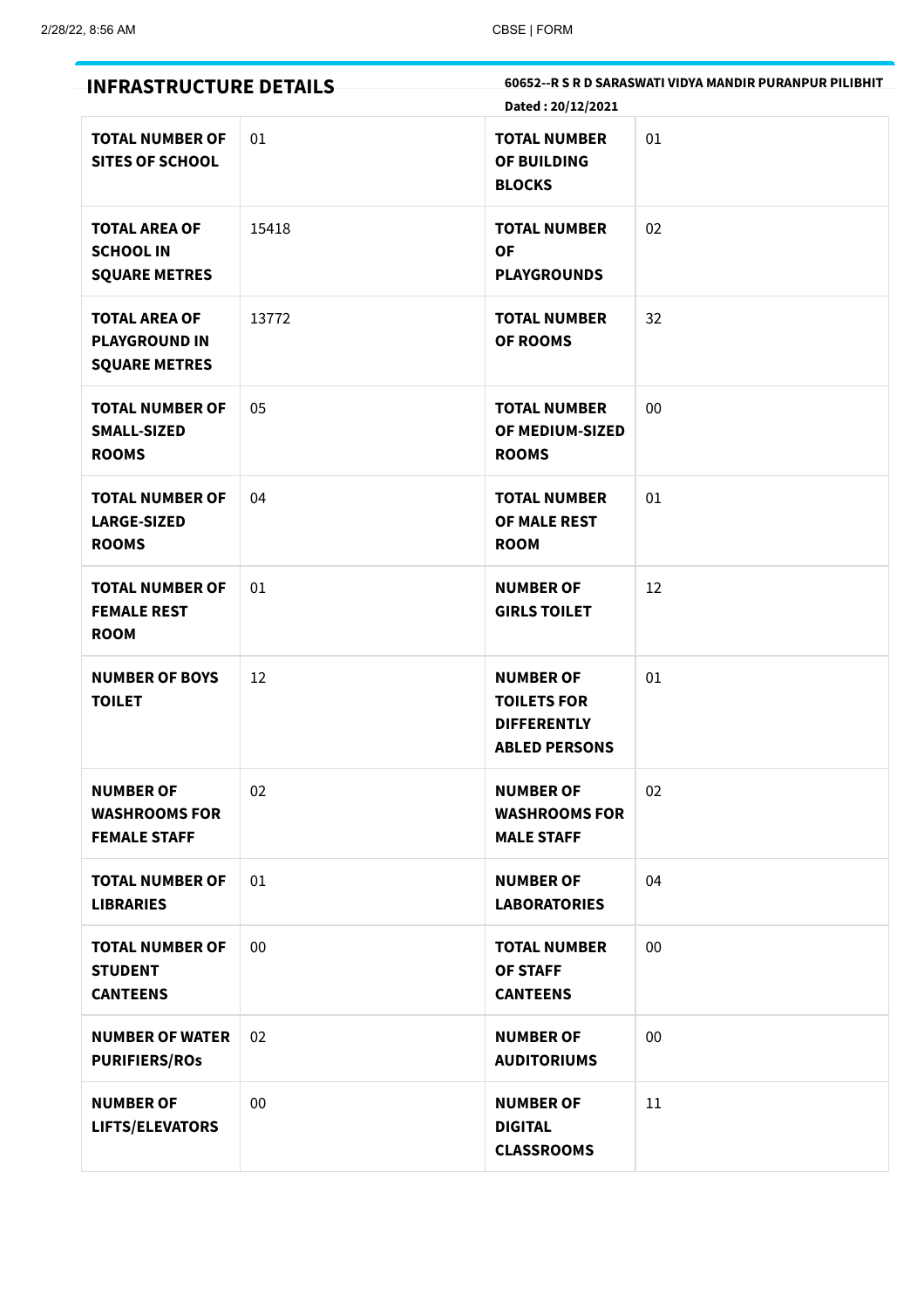| <b>INFRASTRUCTURE DETAILS</b>                                        |       | Dated: 20/12/2021                                                                    | 60652--R S R D SARASWATI VIDYA MANDIR PURANPUR PILIBHIT |
|----------------------------------------------------------------------|-------|--------------------------------------------------------------------------------------|---------------------------------------------------------|
| <b>TOTAL NUMBER OF</b><br><b>SITES OF SCHOOL</b>                     | 01    | <b>TOTAL NUMBER</b><br>OF BUILDING<br><b>BLOCKS</b>                                  | 01                                                      |
| <b>TOTAL AREA OF</b><br><b>SCHOOL IN</b><br><b>SQUARE METRES</b>     | 15418 | <b>TOTAL NUMBER</b><br><b>OF</b><br><b>PLAYGROUNDS</b>                               | 02                                                      |
| <b>TOTAL AREA OF</b><br><b>PLAYGROUND IN</b><br><b>SQUARE METRES</b> | 13772 | <b>TOTAL NUMBER</b><br><b>OF ROOMS</b>                                               | 32                                                      |
| <b>TOTAL NUMBER OF</b><br>SMALL-SIZED<br><b>ROOMS</b>                | 05    | <b>TOTAL NUMBER</b><br>OF MEDIUM-SIZED<br><b>ROOMS</b>                               | 00                                                      |
| <b>TOTAL NUMBER OF</b><br><b>LARGE-SIZED</b><br><b>ROOMS</b>         | 04    | <b>TOTAL NUMBER</b><br>OF MALE REST<br><b>ROOM</b>                                   | 01                                                      |
| <b>TOTAL NUMBER OF</b><br><b>FEMALE REST</b><br><b>ROOM</b>          | 01    | <b>NUMBER OF</b><br><b>GIRLS TOILET</b>                                              | 12                                                      |
| <b>NUMBER OF BOYS</b><br><b>TOILET</b>                               | 12    | <b>NUMBER OF</b><br><b>TOILETS FOR</b><br><b>DIFFERENTLY</b><br><b>ABLED PERSONS</b> | 01                                                      |
| <b>NUMBER OF</b><br><b>WASHROOMS FOR</b><br><b>FEMALE STAFF</b>      | 02    | <b>NUMBER OF</b><br><b>WASHROOMS FOR</b><br><b>MALE STAFF</b>                        | 02                                                      |
| <b>TOTAL NUMBER OF</b><br><b>LIBRARIES</b>                           | 01    | <b>NUMBER OF</b><br><b>LABORATORIES</b>                                              | 04                                                      |
| <b>TOTAL NUMBER OF</b><br><b>STUDENT</b><br><b>CANTEENS</b>          | 00    | <b>TOTAL NUMBER</b><br><b>OF STAFF</b><br><b>CANTEENS</b>                            | 00                                                      |
| <b>NUMBER OF WATER</b><br><b>PURIFIERS/ROS</b>                       | 02    | <b>NUMBER OF</b><br><b>AUDITORIUMS</b>                                               | 00                                                      |
| <b>NUMBER OF</b><br>LIFTS/ELEVATORS                                  | 00    | <b>NUMBER OF</b><br><b>DIGITAL</b><br><b>CLASSROOMS</b>                              | 11                                                      |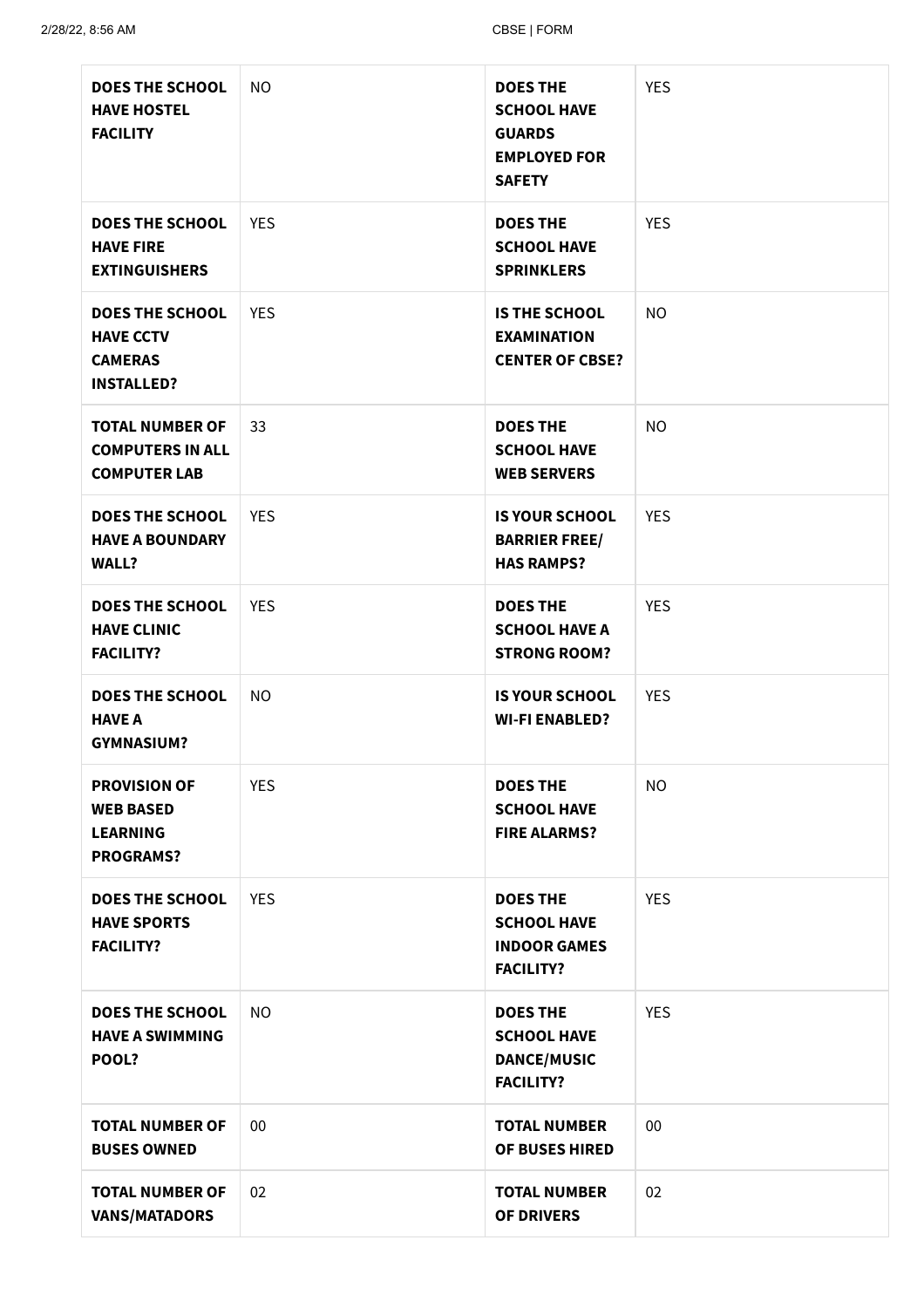| <b>DOES THE SCHOOL</b><br><b>HAVE HOSTEL</b><br><b>FACILITY</b>                   | <b>NO</b>  | <b>DOES THE</b><br><b>SCHOOL HAVE</b><br><b>GUARDS</b><br><b>EMPLOYED FOR</b><br><b>SAFETY</b> | <b>YES</b> |
|-----------------------------------------------------------------------------------|------------|------------------------------------------------------------------------------------------------|------------|
| <b>DOES THE SCHOOL</b><br><b>HAVE FIRE</b><br><b>EXTINGUISHERS</b>                | <b>YES</b> | <b>DOES THE</b><br><b>SCHOOL HAVE</b><br><b>SPRINKLERS</b>                                     | <b>YES</b> |
| <b>DOES THE SCHOOL</b><br><b>HAVE CCTV</b><br><b>CAMERAS</b><br><b>INSTALLED?</b> | <b>YES</b> | <b>IS THE SCHOOL</b><br><b>EXAMINATION</b><br><b>CENTER OF CBSE?</b>                           | <b>NO</b>  |
| <b>TOTAL NUMBER OF</b><br><b>COMPUTERS IN ALL</b><br><b>COMPUTER LAB</b>          | 33         | <b>DOES THE</b><br><b>SCHOOL HAVE</b><br><b>WEB SERVERS</b>                                    | <b>NO</b>  |
| <b>DOES THE SCHOOL</b><br><b>HAVE A BOUNDARY</b><br><b>WALL?</b>                  | <b>YES</b> | <b>IS YOUR SCHOOL</b><br><b>BARRIER FREE/</b><br><b>HAS RAMPS?</b>                             | <b>YES</b> |
| <b>DOES THE SCHOOL</b><br><b>HAVE CLINIC</b><br><b>FACILITY?</b>                  | <b>YES</b> | <b>DOES THE</b><br><b>SCHOOL HAVE A</b><br><b>STRONG ROOM?</b>                                 | <b>YES</b> |
| <b>DOES THE SCHOOL</b><br><b>HAVE A</b><br><b>GYMNASIUM?</b>                      | <b>NO</b>  | <b>IS YOUR SCHOOL</b><br><b>WI-FI ENABLED?</b>                                                 | <b>YES</b> |
| <b>PROVISION OF</b><br><b>WEB BASED</b><br><b>LEARNING</b><br><b>PROGRAMS?</b>    | <b>YES</b> | <b>DOES THE</b><br><b>SCHOOL HAVE</b><br><b>FIRE ALARMS?</b>                                   | <b>NO</b>  |
| <b>DOES THE SCHOOL</b><br><b>HAVE SPORTS</b><br><b>FACILITY?</b>                  | <b>YES</b> | <b>DOES THE</b><br><b>SCHOOL HAVE</b><br><b>INDOOR GAMES</b><br><b>FACILITY?</b>               | <b>YES</b> |
| <b>DOES THE SCHOOL</b><br><b>HAVE A SWIMMING</b><br>POOL?                         | <b>NO</b>  | <b>DOES THE</b><br><b>SCHOOL HAVE</b><br><b>DANCE/MUSIC</b><br><b>FACILITY?</b>                | <b>YES</b> |
| <b>TOTAL NUMBER OF</b><br><b>BUSES OWNED</b>                                      | 00         | <b>TOTAL NUMBER</b><br><b>OF BUSES HIRED</b>                                                   | $00\,$     |
| <b>TOTAL NUMBER OF</b><br><b>VANS/MATADORS</b>                                    | 02         | <b>TOTAL NUMBER</b><br><b>OF DRIVERS</b>                                                       | 02         |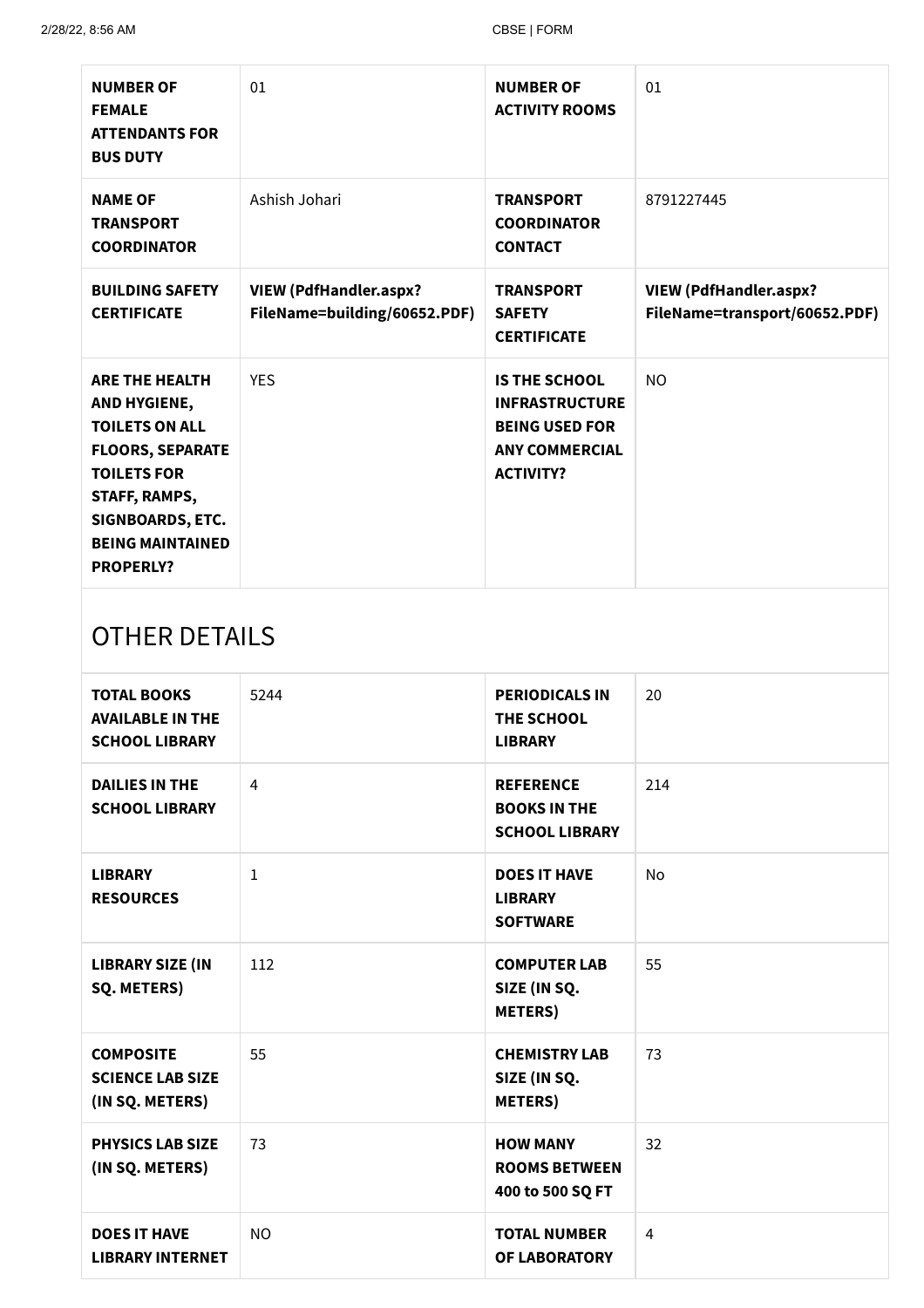| <b>NUMBER OF</b><br><b>FEMALE</b><br><b>ATTENDANTS FOR</b><br><b>BUS DUTY</b>                                                                                                                       | 01                                                            | <b>NUMBER OF</b><br><b>ACTIVITY ROOMS</b>                                                                           | 01                                                             |  |
|-----------------------------------------------------------------------------------------------------------------------------------------------------------------------------------------------------|---------------------------------------------------------------|---------------------------------------------------------------------------------------------------------------------|----------------------------------------------------------------|--|
| <b>NAME OF</b><br><b>TRANSPORT</b><br><b>COORDINATOR</b>                                                                                                                                            | Ashish Johari                                                 | <b>TRANSPORT</b><br><b>COORDINATOR</b><br><b>CONTACT</b>                                                            | 8791227445                                                     |  |
| <b>BUILDING SAFETY</b><br><b>CERTIFICATE</b>                                                                                                                                                        | <b>VIEW (PdfHandler.aspx?</b><br>FileName=building/60652.PDF) | <b>TRANSPORT</b><br><b>SAFETY</b><br><b>CERTIFICATE</b>                                                             | <b>VIEW (PdfHandler.aspx?</b><br>FileName=transport/60652.PDF) |  |
| <b>ARE THE HEALTH</b><br>AND HYGIENE,<br><b>TOILETS ON ALL</b><br><b>FLOORS, SEPARATE</b><br><b>TOILETS FOR</b><br>STAFF, RAMPS,<br>SIGNBOARDS, ETC.<br><b>BEING MAINTAINED</b><br><b>PROPERLY?</b> | <b>YES</b>                                                    | <b>IS THE SCHOOL</b><br><b>INFRASTRUCTURE</b><br><b>BEING USED FOR</b><br><b>ANY COMMERCIAL</b><br><b>ACTIVITY?</b> | N <sub>O</sub>                                                 |  |
| OTHER DETAILS                                                                                                                                                                                       |                                                               |                                                                                                                     |                                                                |  |

# OTHER DETAILS

| <b>TOTAL BOOKS</b><br><b>AVAILABLE IN THE</b><br><b>SCHOOL LIBRARY</b> | 5244           | <b>PERIODICALS IN</b><br>THE SCHOOL<br><b>LIBRARY</b>            | 20        |
|------------------------------------------------------------------------|----------------|------------------------------------------------------------------|-----------|
| <b>DAILIES IN THE</b><br><b>SCHOOL LIBRARY</b>                         | $\overline{4}$ | <b>REFERENCE</b><br><b>BOOKS IN THE</b><br><b>SCHOOL LIBRARY</b> | 214       |
| <b>LIBRARY</b><br><b>RESOURCES</b>                                     | $\mathbf{1}$   | <b>DOES IT HAVE</b><br><b>LIBRARY</b><br><b>SOFTWARE</b>         | <b>No</b> |
| <b>LIBRARY SIZE (IN</b><br>SQ. METERS)                                 | 112            | <b>COMPUTER LAB</b><br>SIZE (IN SQ.<br><b>METERS</b> )           | 55        |
| <b>COMPOSITE</b><br><b>SCIENCE LAB SIZE</b><br>(IN SQ. METERS)         | 55             | <b>CHEMISTRY LAB</b><br>SIZE (IN SQ.<br><b>METERS</b> )          | 73        |
| <b>PHYSICS LAB SIZE</b><br>(IN SQ. METERS)                             | 73             | <b>HOW MANY</b><br><b>ROOMS BETWEEN</b><br>400 to 500 SQ FT      | 32        |
| <b>DOES IT HAVE</b><br><b>LIBRARY INTERNET</b>                         | <b>NO</b>      | <b>TOTAL NUMBER</b><br>OF LABORATORY                             | 4         |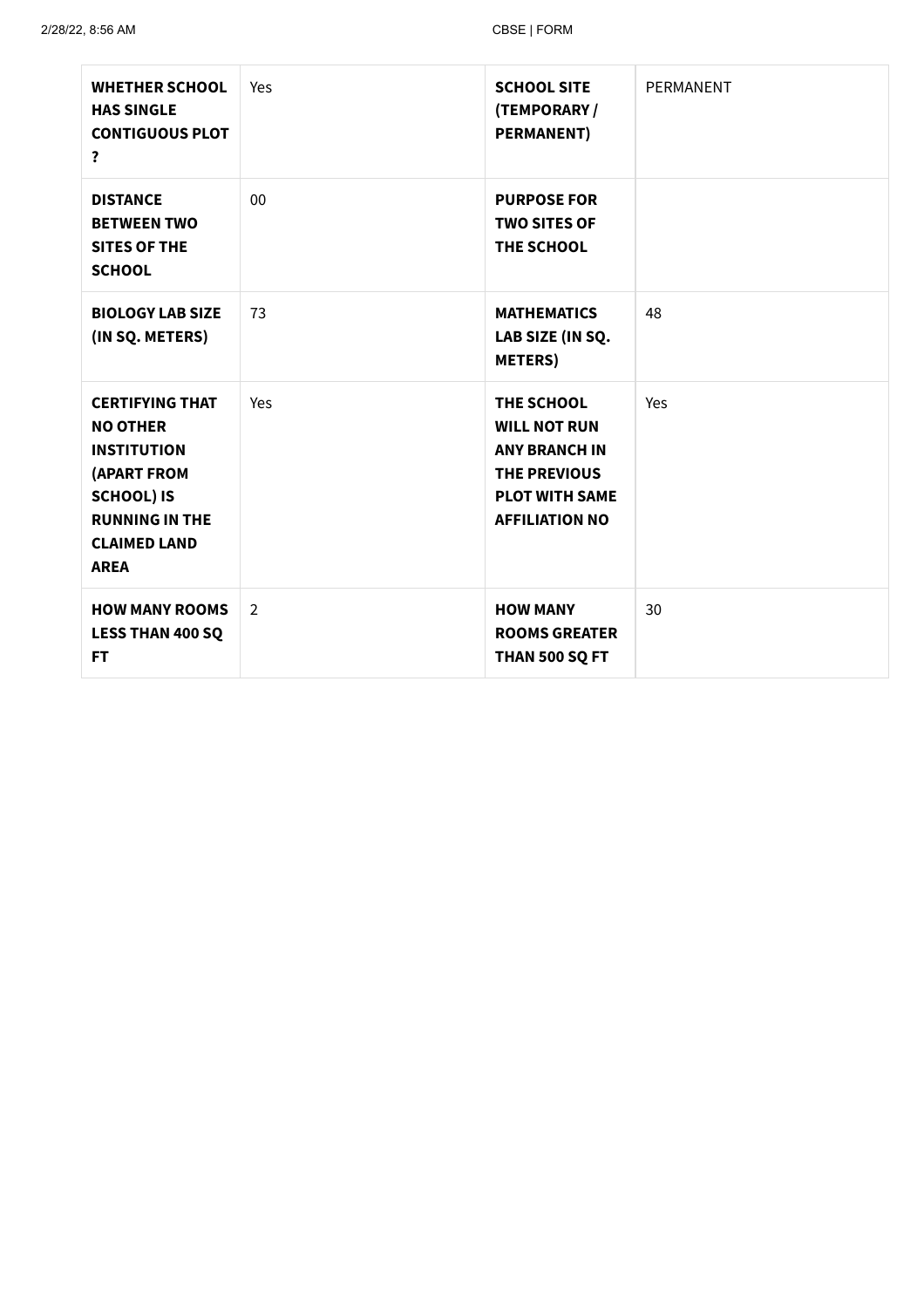| <b>WHETHER SCHOOL</b><br><b>HAS SINGLE</b><br><b>CONTIGUOUS PLOT</b><br>?                                                                                                 | Yes            | <b>SCHOOL SITE</b><br>(TEMPORARY /<br><b>PERMANENT)</b>                                                                            | PERMANENT |
|---------------------------------------------------------------------------------------------------------------------------------------------------------------------------|----------------|------------------------------------------------------------------------------------------------------------------------------------|-----------|
| <b>DISTANCE</b><br><b>BETWEEN TWO</b><br><b>SITES OF THE</b><br><b>SCHOOL</b>                                                                                             | 00             | <b>PURPOSE FOR</b><br><b>TWO SITES OF</b><br>THE SCHOOL                                                                            |           |
| <b>BIOLOGY LAB SIZE</b><br>(IN SQ. METERS)                                                                                                                                | 73             | <b>MATHEMATICS</b><br>LAB SIZE (IN SQ.<br><b>METERS</b> )                                                                          | 48        |
| <b>CERTIFYING THAT</b><br><b>NO OTHER</b><br><b>INSTITUTION</b><br><b>(APART FROM</b><br><b>SCHOOL) IS</b><br><b>RUNNING IN THE</b><br><b>CLAIMED LAND</b><br><b>AREA</b> | Yes            | THE SCHOOL<br><b>WILL NOT RUN</b><br><b>ANY BRANCH IN</b><br><b>THE PREVIOUS</b><br><b>PLOT WITH SAME</b><br><b>AFFILIATION NO</b> | Yes       |
| <b>HOW MANY ROOMS</b><br><b>LESS THAN 400 SQ</b><br><b>FT</b>                                                                                                             | $\overline{2}$ | <b>HOW MANY</b><br><b>ROOMS GREATER</b><br>THAN 500 SQ FT                                                                          | 30        |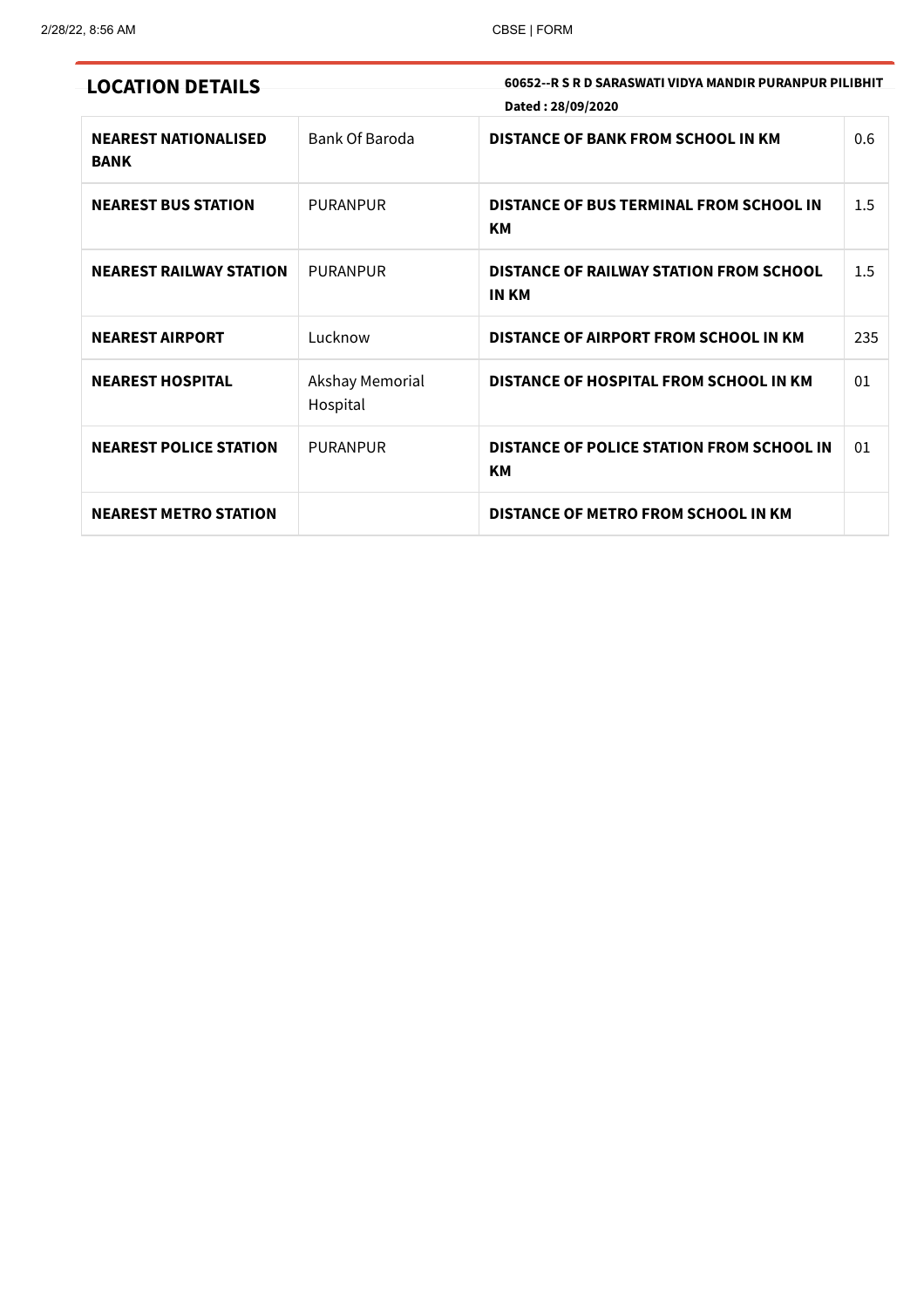|  |  |  |  | <b>LOCATION DETAILS</b> |
|--|--|--|--|-------------------------|
|--|--|--|--|-------------------------|

60652--R S R D SARASWATI VIDYA MANDIR PURANPUR PILIBHIT Dated : 28/09/2020

| <b>NEAREST NATIONALISED</b><br><b>BANK</b> | Bank Of Baroda              | <b>DISTANCE OF BANK FROM SCHOOL IN KM</b>                      | 0.6 |
|--------------------------------------------|-----------------------------|----------------------------------------------------------------|-----|
| <b>NEAREST BUS STATION</b>                 | <b>PURANPUR</b>             | <b>DISTANCE OF BUS TERMINAL FROM SCHOOL IN</b><br><b>KM</b>    | 1.5 |
| <b>NEAREST RAILWAY STATION</b>             | <b>PURANPUR</b>             | <b>DISTANCE OF RAILWAY STATION FROM SCHOOL</b><br><b>IN KM</b> | 1.5 |
| <b>NEAREST AIRPORT</b>                     | Lucknow                     | DISTANCE OF AIRPORT FROM SCHOOL IN KM                          | 235 |
| <b>NEAREST HOSPITAL</b>                    | Akshay Memorial<br>Hospital | DISTANCE OF HOSPITAL FROM SCHOOL IN KM                         | 01  |
| <b>NEAREST POLICE STATION</b>              | <b>PURANPUR</b>             | <b>DISTANCE OF POLICE STATION FROM SCHOOL IN</b><br>KM         | 01  |
| <b>NEAREST METRO STATION</b>               |                             | <b>DISTANCE OF METRO FROM SCHOOL IN KM</b>                     |     |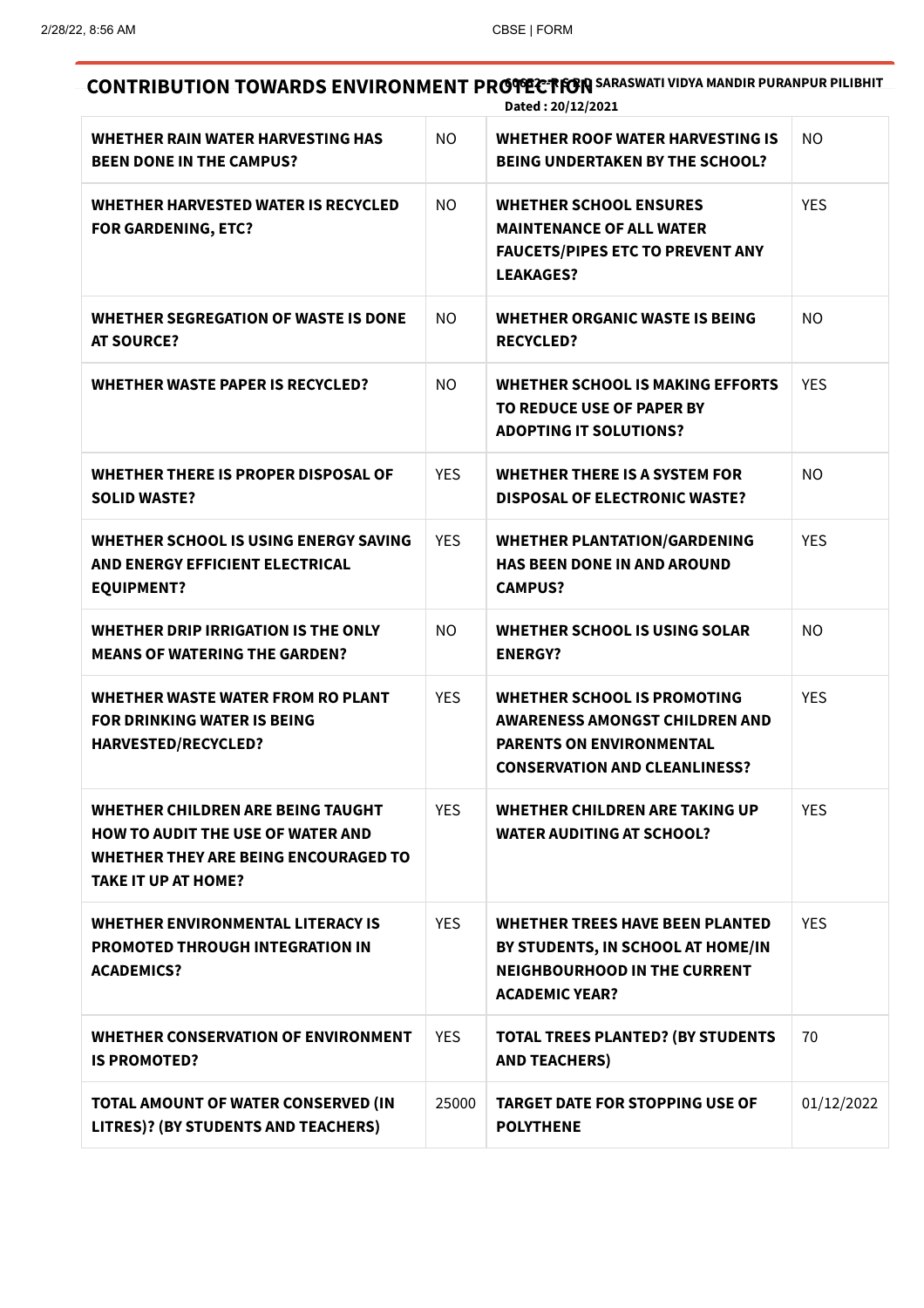#### CONTRIBUTION TOWARDS ENVIRONMENT PROPECTION SARASWATI VIDYA MANDIR PURANPUR PILIBHIT Dated : 20/12/2021

| WHETHER RAIN WATER HARVESTING HAS<br><b>BEEN DONE IN THE CAMPUS?</b>                                                                                              | NO.            | WHETHER ROOF WATER HARVESTING IS<br><b>BEING UNDERTAKEN BY THE SCHOOL?</b>                                                                      | NO.        |
|-------------------------------------------------------------------------------------------------------------------------------------------------------------------|----------------|-------------------------------------------------------------------------------------------------------------------------------------------------|------------|
| WHETHER HARVESTED WATER IS RECYCLED<br><b>FOR GARDENING, ETC?</b>                                                                                                 | <b>NO</b>      | <b>WHETHER SCHOOL ENSURES</b><br><b>MAINTENANCE OF ALL WATER</b><br><b>FAUCETS/PIPES ETC TO PREVENT ANY</b><br><b>LEAKAGES?</b>                 | <b>YES</b> |
| <b>WHETHER SEGREGATION OF WASTE IS DONE</b><br><b>AT SOURCE?</b>                                                                                                  | NO.            | <b>WHETHER ORGANIC WASTE IS BEING</b><br><b>RECYCLED?</b>                                                                                       | NO.        |
| <b>WHETHER WASTE PAPER IS RECYCLED?</b>                                                                                                                           | NO.            | WHETHER SCHOOL IS MAKING EFFORTS<br>TO REDUCE USE OF PAPER BY<br><b>ADOPTING IT SOLUTIONS?</b>                                                  | <b>YES</b> |
| WHETHER THERE IS PROPER DISPOSAL OF<br><b>SOLID WASTE?</b>                                                                                                        | <b>YES</b>     | <b>WHETHER THERE IS A SYSTEM FOR</b><br><b>DISPOSAL OF ELECTRONIC WASTE?</b>                                                                    | <b>NO</b>  |
| WHETHER SCHOOL IS USING ENERGY SAVING<br>AND ENERGY EFFICIENT ELECTRICAL<br><b>EQUIPMENT?</b>                                                                     | <b>YES</b>     | <b>WHETHER PLANTATION/GARDENING</b><br><b>HAS BEEN DONE IN AND AROUND</b><br><b>CAMPUS?</b>                                                     | <b>YES</b> |
| WHETHER DRIP IRRIGATION IS THE ONLY<br><b>MEANS OF WATERING THE GARDEN?</b>                                                                                       | N <sub>O</sub> | WHETHER SCHOOL IS USING SOLAR<br><b>ENERGY?</b>                                                                                                 | NO.        |
| <b>WHETHER WASTE WATER FROM RO PLANT</b><br><b>FOR DRINKING WATER IS BEING</b><br><b>HARVESTED/RECYCLED?</b>                                                      | <b>YES</b>     | <b>WHETHER SCHOOL IS PROMOTING</b><br>AWARENESS AMONGST CHILDREN AND<br><b>PARENTS ON ENVIRONMENTAL</b><br><b>CONSERVATION AND CLEANLINESS?</b> | <b>YES</b> |
| <b>WHETHER CHILDREN ARE BEING TAUGHT</b><br><b>HOW TO AUDIT THE USE OF WATER AND</b><br><b>WHETHER THEY ARE BEING ENCOURAGED TO</b><br><b>TAKE IT UP AT HOME?</b> | <b>YES</b>     | <b>WHETHER CHILDREN ARE TAKING UP</b><br><b>WATER AUDITING AT SCHOOL?</b>                                                                       | <b>YES</b> |
| <b>WHETHER ENVIRONMENTAL LITERACY IS</b><br><b>PROMOTED THROUGH INTEGRATION IN</b><br><b>ACADEMICS?</b>                                                           | <b>YES</b>     | <b>WHETHER TREES HAVE BEEN PLANTED</b><br>BY STUDENTS, IN SCHOOL AT HOME/IN<br><b>NEIGHBOURHOOD IN THE CURRENT</b><br><b>ACADEMIC YEAR?</b>     | <b>YES</b> |
| <b>WHETHER CONSERVATION OF ENVIRONMENT</b><br><b>IS PROMOTED?</b>                                                                                                 | <b>YES</b>     | <b>TOTAL TREES PLANTED? (BY STUDENTS</b><br><b>AND TEACHERS)</b>                                                                                | 70         |
| TOTAL AMOUNT OF WATER CONSERVED (IN<br>LITRES)? (BY STUDENTS AND TEACHERS)                                                                                        | 25000          | <b>TARGET DATE FOR STOPPING USE OF</b><br><b>POLYTHENE</b>                                                                                      | 01/12/2022 |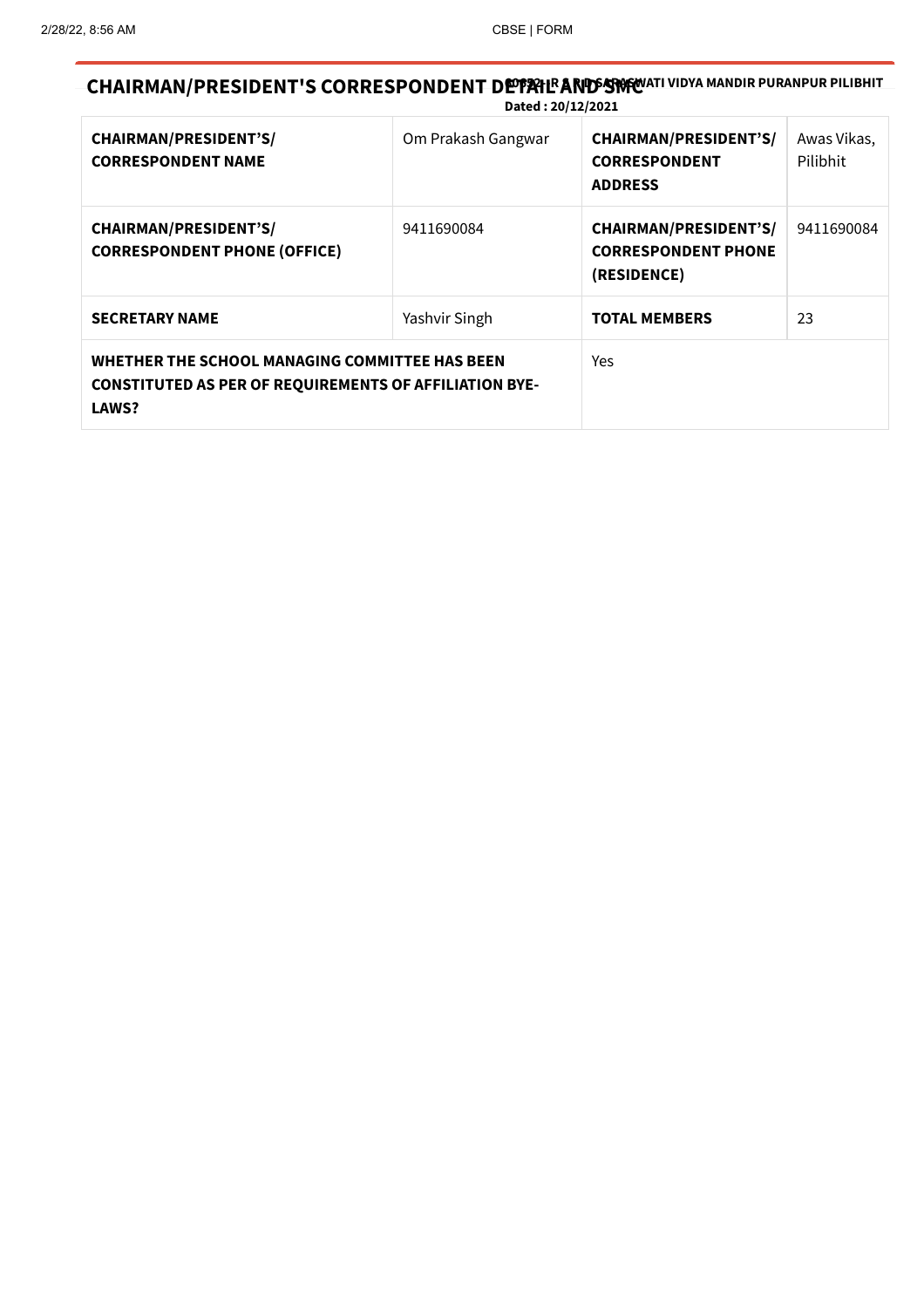# CHAIRMAN/PRESIDENT'S CORRESPONDENT DEPPAIL AND STORT I VIDYA MANDIR PURANPUR PILIBHIT Dated : 20/12/2021

| <b>CHAIRMAN/PRESIDENT'S/</b><br><b>CORRESPONDENT NAME</b>                                                                | Om Prakash Gangwar | <b>CHAIRMAN/PRESIDENT'S/</b><br><b>CORRESPONDENT</b><br><b>ADDRESS</b>    | Awas Vikas,<br>Pilibhit |
|--------------------------------------------------------------------------------------------------------------------------|--------------------|---------------------------------------------------------------------------|-------------------------|
| <b>CHAIRMAN/PRESIDENT'S/</b><br><b>CORRESPONDENT PHONE (OFFICE)</b>                                                      | 9411690084         | <b>CHAIRMAN/PRESIDENT'S/</b><br><b>CORRESPONDENT PHONE</b><br>(RESIDENCE) | 9411690084              |
| <b>SECRETARY NAME</b>                                                                                                    | Yashvir Singh      | <b>TOTAL MEMBERS</b>                                                      | 23                      |
| WHETHER THE SCHOOL MANAGING COMMITTEE HAS BEEN<br><b>CONSTITUTED AS PER OF REQUIREMENTS OF AFFILIATION BYE-</b><br>LAWS? |                    | Yes                                                                       |                         |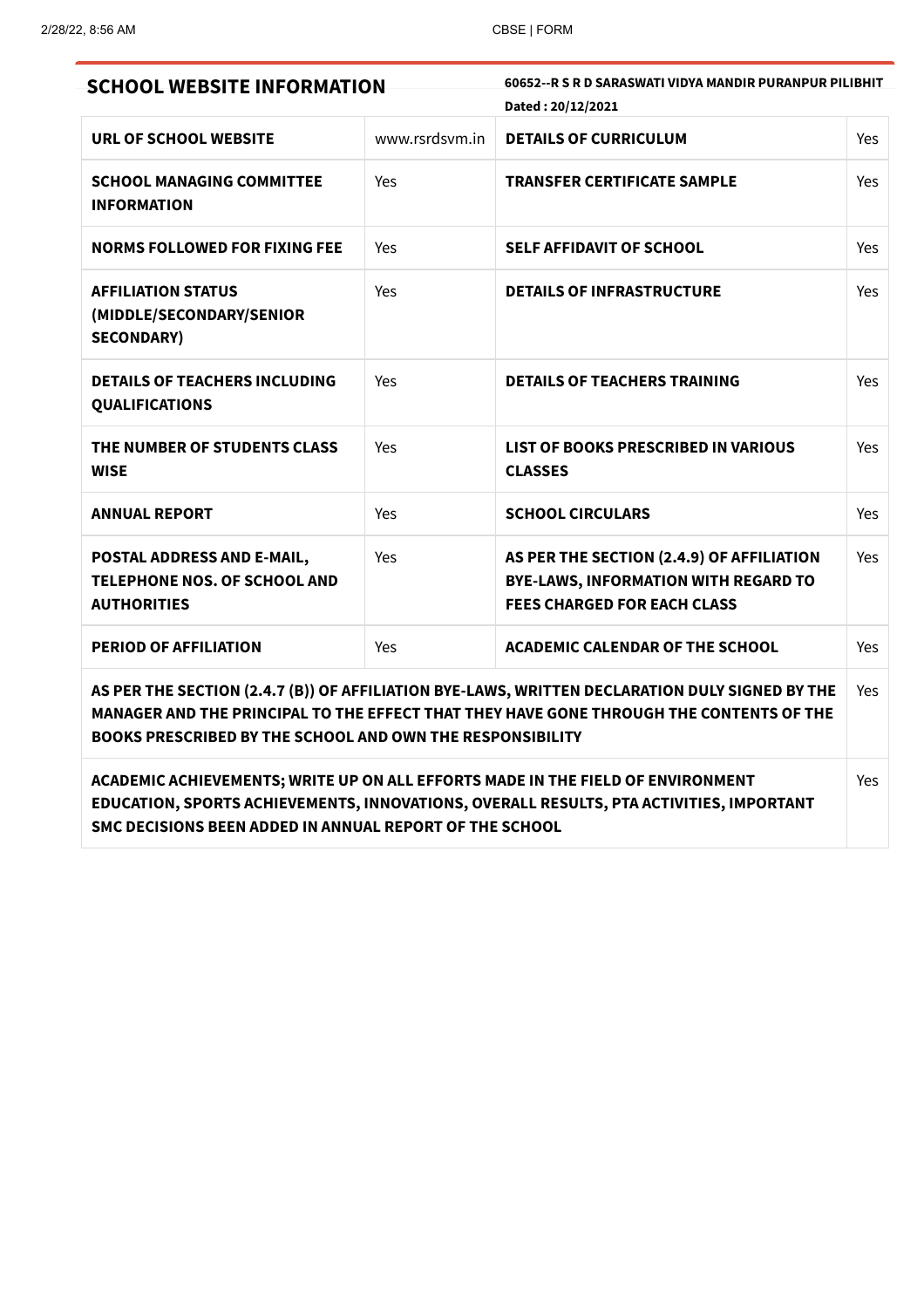| <b>SCHOOL WEBSITE INFORMATION</b>                                                                                                                                                                                                                             |                | 60652--R S R D SARASWATI VIDYA MANDIR PURANPUR PILIBHIT<br>Dated: 20/12/2021                                            |     |
|---------------------------------------------------------------------------------------------------------------------------------------------------------------------------------------------------------------------------------------------------------------|----------------|-------------------------------------------------------------------------------------------------------------------------|-----|
| URL OF SCHOOL WEBSITE                                                                                                                                                                                                                                         | www.rsrdsym.in | <b>DETAILS OF CURRICULUM</b>                                                                                            | Yes |
| <b>SCHOOL MANAGING COMMITTEE</b><br><b>INFORMATION</b>                                                                                                                                                                                                        | Yes            | <b>TRANSFER CERTIFICATE SAMPLE</b>                                                                                      | Yes |
| <b>NORMS FOLLOWED FOR FIXING FEE</b>                                                                                                                                                                                                                          | Yes            | <b>SELF AFFIDAVIT OF SCHOOL</b>                                                                                         | Yes |
| <b>AFFILIATION STATUS</b><br>(MIDDLE/SECONDARY/SENIOR<br><b>SECONDARY)</b>                                                                                                                                                                                    | Yes            | <b>DETAILS OF INFRASTRUCTURE</b>                                                                                        | Yes |
| <b>DETAILS OF TEACHERS INCLUDING</b><br><b>QUALIFICATIONS</b>                                                                                                                                                                                                 | Yes            | <b>DETAILS OF TEACHERS TRAINING</b>                                                                                     | Yes |
| THE NUMBER OF STUDENTS CLASS<br><b>WISE</b>                                                                                                                                                                                                                   | Yes            | <b>LIST OF BOOKS PRESCRIBED IN VARIOUS</b><br><b>CLASSES</b>                                                            | Yes |
| <b>ANNUAL REPORT</b>                                                                                                                                                                                                                                          | Yes            | <b>SCHOOL CIRCULARS</b>                                                                                                 | Yes |
| POSTAL ADDRESS AND E-MAIL,<br>TELEPHONE NOS. OF SCHOOL AND<br><b>AUTHORITIES</b>                                                                                                                                                                              | Yes            | AS PER THE SECTION (2.4.9) OF AFFILIATION<br>BYE-LAWS, INFORMATION WITH REGARD TO<br><b>FEES CHARGED FOR EACH CLASS</b> | Yes |
| <b>PERIOD OF AFFILIATION</b>                                                                                                                                                                                                                                  | Yes            | <b>ACADEMIC CALENDAR OF THE SCHOOL</b>                                                                                  | Yes |
| AS PER THE SECTION (2.4.7 (B)) OF AFFILIATION BYE-LAWS, WRITTEN DECLARATION DULY SIGNED BY THE<br>MANAGER AND THE PRINCIPAL TO THE EFFECT THAT THEY HAVE GONE THROUGH THE CONTENTS OF THE<br><b>BOOKS PRESCRIBED BY THE SCHOOL AND OWN THE RESPONSIBILITY</b> |                |                                                                                                                         | Yes |
| ACADEMIC ACHIEVEMENTS; WRITE UP ON ALL EFFORTS MADE IN THE FIELD OF ENVIRONMENT<br>EDUCATION, SPORTS ACHIEVEMENTS, INNOVATIONS, OVERALL RESULTS, PTA ACTIVITIES, IMPORTANT                                                                                    |                |                                                                                                                         | Yes |

SMC DECISIONS BEEN ADDED IN ANNUAL REPORT OF THE SCHOOL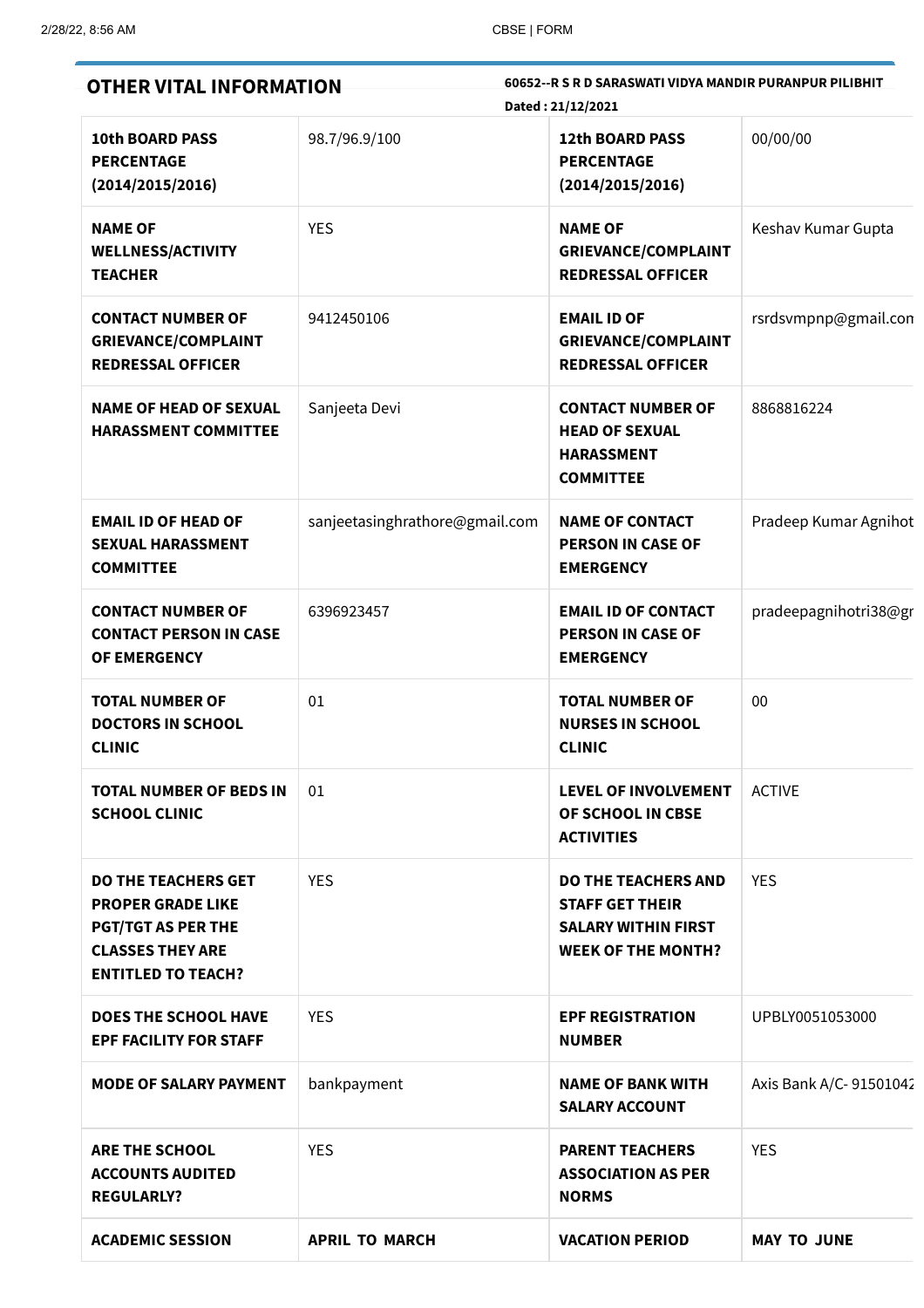| 60652--R S R D SARASWATI VIDYA MANDIR PURANPUR PILIBHIT<br><b>OTHER VITAL INFORMATION</b><br>Dated: 21/12/2021                              |                                |                                                                                                                 |                         |  |  |
|---------------------------------------------------------------------------------------------------------------------------------------------|--------------------------------|-----------------------------------------------------------------------------------------------------------------|-------------------------|--|--|
| <b>10th BOARD PASS</b><br><b>PERCENTAGE</b><br>(2014/2015/2016)                                                                             | 98.7/96.9/100                  | <b>12th BOARD PASS</b><br><b>PERCENTAGE</b><br>(2014/2015/2016)                                                 | 00/00/00                |  |  |
| <b>NAME OF</b><br><b>WELLNESS/ACTIVITY</b><br><b>TEACHER</b>                                                                                | <b>YES</b>                     | <b>NAME OF</b><br><b>GRIEVANCE/COMPLAINT</b><br><b>REDRESSAL OFFICER</b>                                        | Keshav Kumar Gupta      |  |  |
| <b>CONTACT NUMBER OF</b><br><b>GRIEVANCE/COMPLAINT</b><br><b>REDRESSAL OFFICER</b>                                                          | 9412450106                     | <b>EMAIL ID OF</b><br><b>GRIEVANCE/COMPLAINT</b><br><b>REDRESSAL OFFICER</b>                                    | rsrdsvmpnp@gmail.con    |  |  |
| <b>NAME OF HEAD OF SEXUAL</b><br><b>HARASSMENT COMMITTEE</b>                                                                                | Sanjeeta Devi                  | <b>CONTACT NUMBER OF</b><br><b>HEAD OF SEXUAL</b><br><b>HARASSMENT</b><br><b>COMMITTEE</b>                      | 8868816224              |  |  |
| <b>EMAIL ID OF HEAD OF</b><br><b>SEXUAL HARASSMENT</b><br><b>COMMITTEE</b>                                                                  | sanjeetasinghrathore@gmail.com | <b>NAME OF CONTACT</b><br><b>PERSON IN CASE OF</b><br><b>EMERGENCY</b>                                          | Pradeep Kumar Agnihot   |  |  |
| <b>CONTACT NUMBER OF</b><br><b>CONTACT PERSON IN CASE</b><br><b>OF EMERGENCY</b>                                                            | 6396923457                     | <b>EMAIL ID OF CONTACT</b><br><b>PERSON IN CASE OF</b><br><b>EMERGENCY</b>                                      | pradeepagnihotri38@gr   |  |  |
| <b>TOTAL NUMBER OF</b><br><b>DOCTORS IN SCHOOL</b><br><b>CLINIC</b>                                                                         | 01                             | <b>TOTAL NUMBER OF</b><br><b>NURSES IN SCHOOL</b><br><b>CLINIC</b>                                              | 00                      |  |  |
| <b>TOTAL NUMBER OF BEDS IN</b><br><b>SCHOOL CLINIC</b>                                                                                      | 01                             | <b>LEVEL OF INVOLVEMENT</b><br>OF SCHOOL IN CBSE<br><b>ACTIVITIES</b>                                           | <b>ACTIVE</b>           |  |  |
| <b>DO THE TEACHERS GET</b><br><b>PROPER GRADE LIKE</b><br><b>PGT/TGT AS PER THE</b><br><b>CLASSES THEY ARE</b><br><b>ENTITLED TO TEACH?</b> | <b>YES</b>                     | <b>DO THE TEACHERS AND</b><br><b>STAFF GET THEIR</b><br><b>SALARY WITHIN FIRST</b><br><b>WEEK OF THE MONTH?</b> | <b>YES</b>              |  |  |
| <b>DOES THE SCHOOL HAVE</b><br><b>EPF FACILITY FOR STAFF</b>                                                                                | <b>YES</b>                     | <b>EPF REGISTRATION</b><br><b>NUMBER</b>                                                                        | UPBLY0051053000         |  |  |
| <b>MODE OF SALARY PAYMENT</b>                                                                                                               | bankpayment                    | <b>NAME OF BANK WITH</b><br><b>SALARY ACCOUNT</b>                                                               | Axis Bank A/C- 91501042 |  |  |
| <b>ARE THE SCHOOL</b><br><b>ACCOUNTS AUDITED</b><br><b>REGULARLY?</b>                                                                       | <b>YES</b>                     | <b>PARENT TEACHERS</b><br><b>ASSOCIATION AS PER</b><br><b>NORMS</b>                                             | <b>YES</b>              |  |  |
| <b>ACADEMIC SESSION</b>                                                                                                                     | <b>APRIL TO MARCH</b>          | <b>VACATION PERIOD</b>                                                                                          | <b>MAY TO JUNE</b>      |  |  |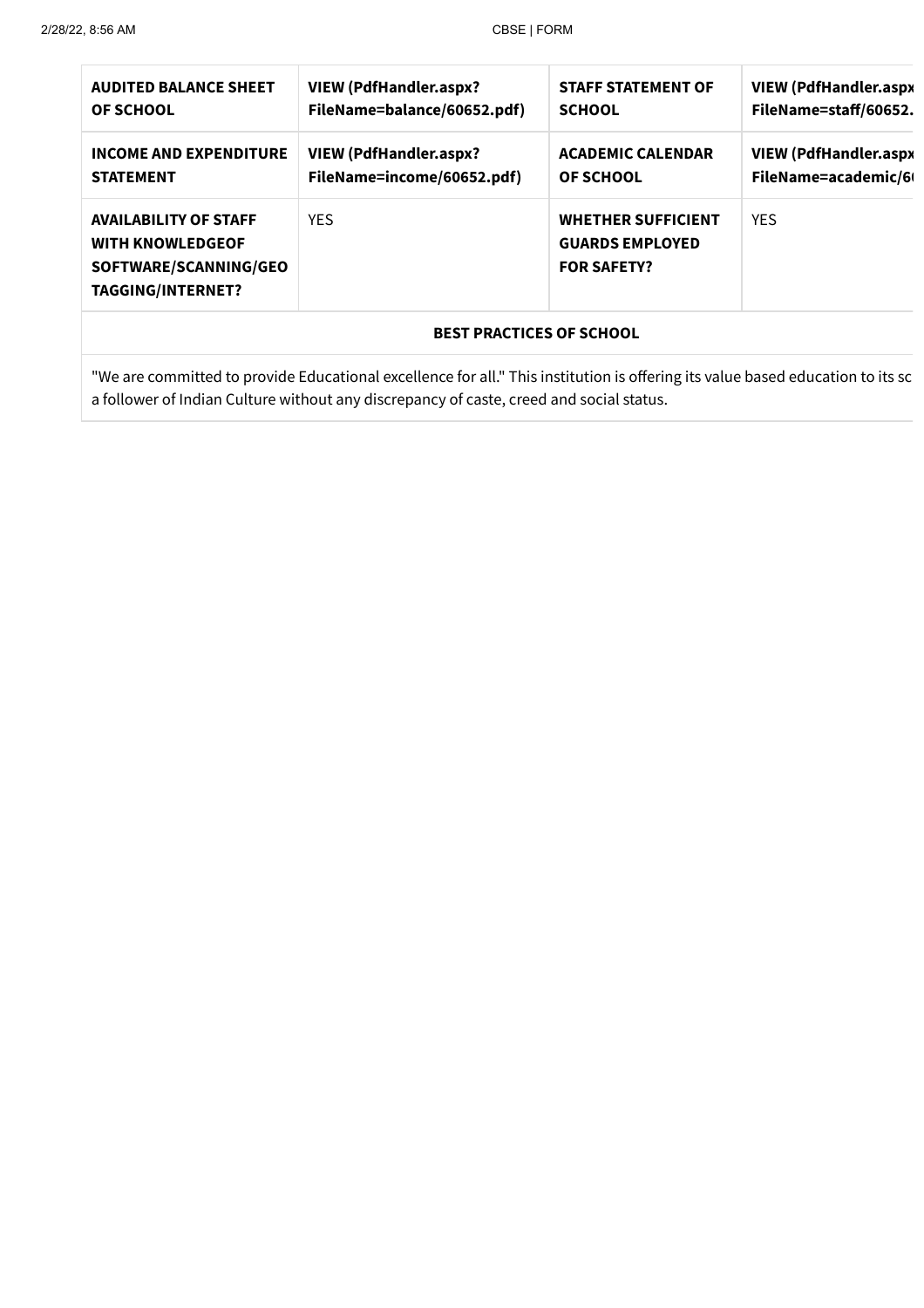| <b>AUDITED BALANCE SHEET</b>                                                                                 | <b>VIEW (PdfHandler.aspx?</b> | <b>STAFF STATEMENT OF</b>                                                 | <b>VIEW (PdfHandler.aspx</b> |  |  |
|--------------------------------------------------------------------------------------------------------------|-------------------------------|---------------------------------------------------------------------------|------------------------------|--|--|
| OF SCHOOL                                                                                                    | FileName=balance/60652.pdf)   | <b>SCHOOL</b>                                                             | FileName=staff/60652.        |  |  |
| <b>INCOME AND EXPENDITURE</b>                                                                                | <b>VIEW (PdfHandler.aspx?</b> | <b>ACADEMIC CALENDAR</b>                                                  | <b>VIEW (PdfHandler.aspx</b> |  |  |
| <b>STATEMENT</b>                                                                                             | FileName=income/60652.pdf)    | <b>OF SCHOOL</b>                                                          | FileName=academic/6          |  |  |
| <b>AVAILABILITY OF STAFF</b><br><b>WITH KNOWLEDGEOF</b><br>SOFTWARE/SCANNING/GEO<br><b>TAGGING/INTERNET?</b> | <b>YFS</b>                    | <b>WHETHER SUFFICIENT</b><br><b>GUARDS EMPLOYED</b><br><b>FOR SAFETY?</b> | <b>YFS</b>                   |  |  |
| <b>BEST PRACTICES OF SCHOOL</b>                                                                              |                               |                                                                           |                              |  |  |

"We are committed to provide Educational excellence for all." This institution is offering its value based education to its sc a follower of Indian Culture without any discrepancy of caste, creed and social status.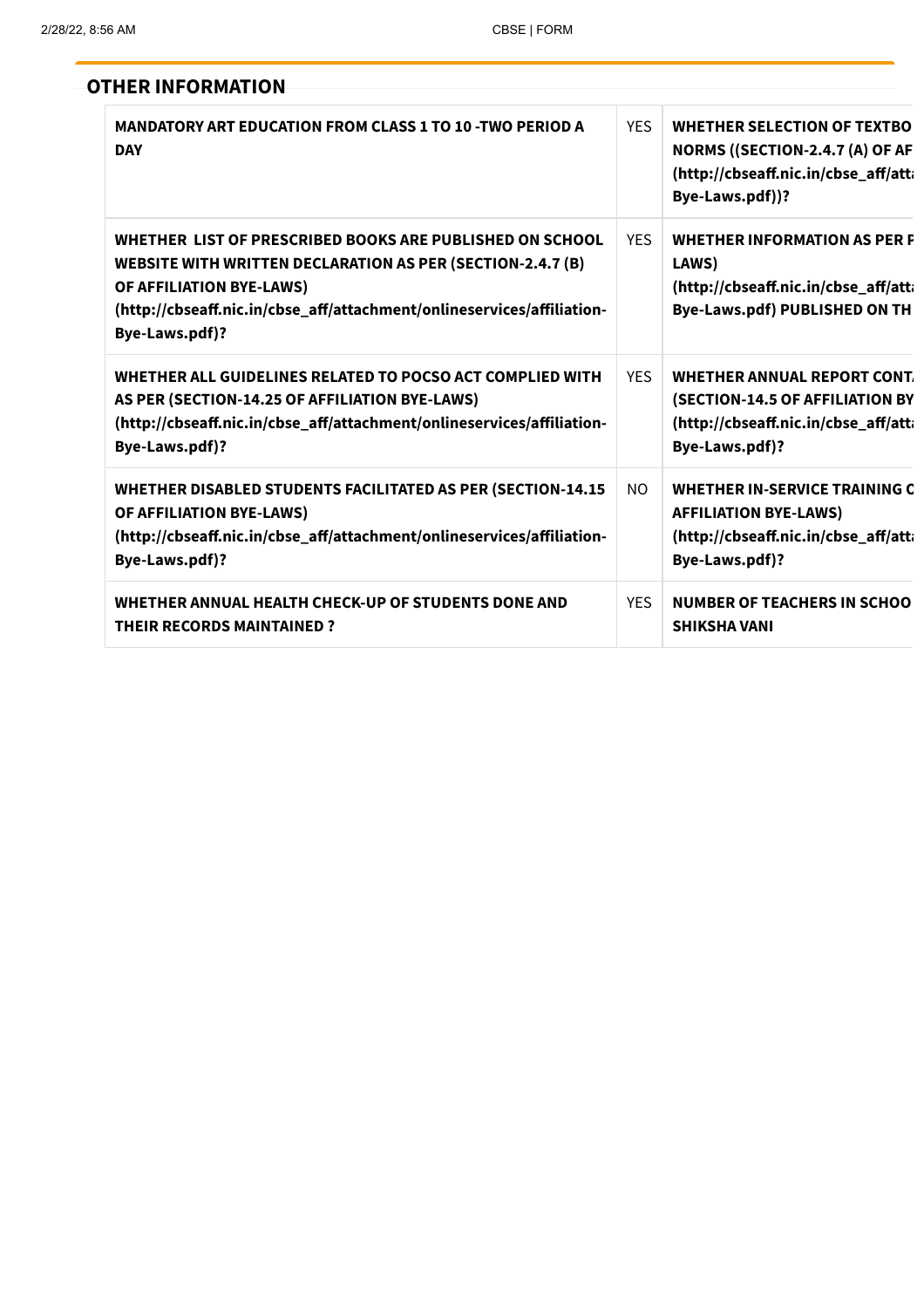| <b>OTHER INFORMATION</b>                                                                                                                                                                                                                              |            |                                                                                                                                  |
|-------------------------------------------------------------------------------------------------------------------------------------------------------------------------------------------------------------------------------------------------------|------------|----------------------------------------------------------------------------------------------------------------------------------|
| <b>MANDATORY ART EDUCATION FROM CLASS 1 TO 10 -TWO PERIOD A</b><br><b>DAY</b>                                                                                                                                                                         | <b>YES</b> | <b>WHETHER SELECTION OF TEXTBO</b><br>NORMS ((SECTION-2.4.7 (A) OF AF<br>(http://cbseaff.nic.in/cbse_aff/atti<br>Bye-Laws.pdf))? |
| WHETHER LIST OF PRESCRIBED BOOKS ARE PUBLISHED ON SCHOOL<br><b>WEBSITE WITH WRITTEN DECLARATION AS PER (SECTION-2.4.7 (B)</b><br>OF AFFILIATION BYE-LAWS)<br>(http://cbseaff.nic.in/cbse_aff/attachment/onlineservices/affiliation-<br>Bye-Laws.pdf)? | <b>YFS</b> | <b>WHETHER INFORMATION AS PER F</b><br>LAWS)<br>(http://cbseaff.nic.in/cbse_aff/atti<br><b>Bye-Laws.pdf) PUBLISHED ON TH</b>     |
| WHETHER ALL GUIDELINES RELATED TO POCSO ACT COMPLIED WITH<br>AS PER (SECTION-14.25 OF AFFILIATION BYE-LAWS)<br>(http://cbseaff.nic.in/cbse_aff/attachment/onlineservices/affiliation-<br>Bye-Laws.pdf)?                                               | <b>YFS</b> | WHETHER ANNUAL REPORT CONT.<br>(SECTION-14.5 OF AFFILIATION BY<br>(http://cbseaff.nic.in/cbse_aff/atti<br>Bye-Laws.pdf)?         |
| WHETHER DISABLED STUDENTS FACILITATED AS PER (SECTION-14.15<br>OF AFFILIATION BYE-LAWS)<br>(http://cbseaff.nic.in/cbse_aff/attachment/onlineservices/affiliation-<br>Bye-Laws.pdf)?                                                                   | NO.        | <b>WHETHER IN-SERVICE TRAINING C</b><br><b>AFFILIATION BYE-LAWS)</b><br>(http://cbseaff.nic.in/cbse_aff/att<br>Bye-Laws.pdf)?    |
| WHETHER ANNUAL HEALTH CHECK-UP OF STUDENTS DONE AND<br><b>THEIR RECORDS MAINTAINED?</b>                                                                                                                                                               | <b>YES</b> | <b>NUMBER OF TEACHERS IN SCHOO</b><br><b>SHIKSHA VANI</b>                                                                        |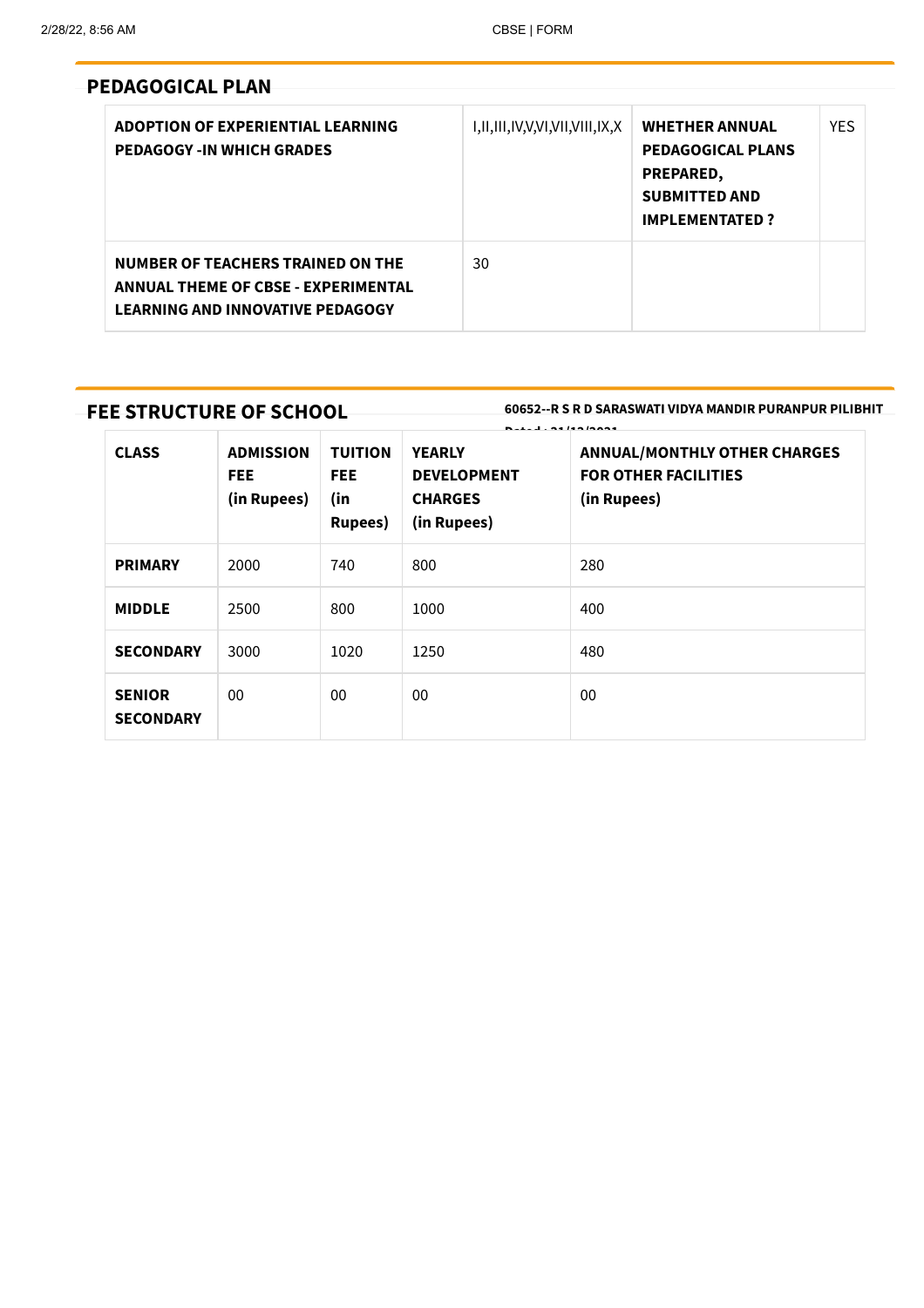# PEDAGOGICAL PLAN

| ADOPTION OF EXPERIENTIAL LEARNING<br><b>PEDAGOGY -IN WHICH GRADES</b>                                                             | I,II,III,IV,V,VI,VII,VIII,IX,X | <b>WHETHER ANNUAL</b><br><b>PEDAGOGICAL PLANS</b><br>PREPARED,<br><b>SUBMITTED AND</b><br><b>IMPLEMENTATED?</b> | <b>YFS</b> |
|-----------------------------------------------------------------------------------------------------------------------------------|--------------------------------|-----------------------------------------------------------------------------------------------------------------|------------|
| <b>NUMBER OF TEACHERS TRAINED ON THE</b><br><b>ANNUAL THEME OF CBSE - EXPERIMENTAL</b><br><b>LEARNING AND INNOVATIVE PEDAGOGY</b> | 30                             |                                                                                                                 |            |

# FEE STRUCTURE OF SCHOOL

60652--R S R D SARASWATI VIDYA MANDIR PURANPUR PILIBHIT

| <b>CLASS</b>                      | <b>ADMISSION</b><br><b>FEE</b><br>(in Rupees) | <b>TUITION</b><br><b>FEE</b><br>(in<br><b>Rupees</b> ) | <b>.</b> <i>.</i><br><b>YEARLY</b><br><b>DEVELOPMENT</b><br><b>CHARGES</b><br>(in Rupees) | <b>ANNUAL/MONTHLY OTHER CHARGES</b><br><b>FOR OTHER FACILITIES</b><br>(in Rupees) |
|-----------------------------------|-----------------------------------------------|--------------------------------------------------------|-------------------------------------------------------------------------------------------|-----------------------------------------------------------------------------------|
| <b>PRIMARY</b>                    | 2000                                          | 740                                                    | 800                                                                                       | 280                                                                               |
| <b>MIDDLE</b>                     | 2500                                          | 800                                                    | 1000                                                                                      | 400                                                                               |
| <b>SECONDARY</b>                  | 3000                                          | 1020                                                   | 1250                                                                                      | 480                                                                               |
| <b>SENIOR</b><br><b>SECONDARY</b> | 00                                            | 00                                                     | 00                                                                                        | 00                                                                                |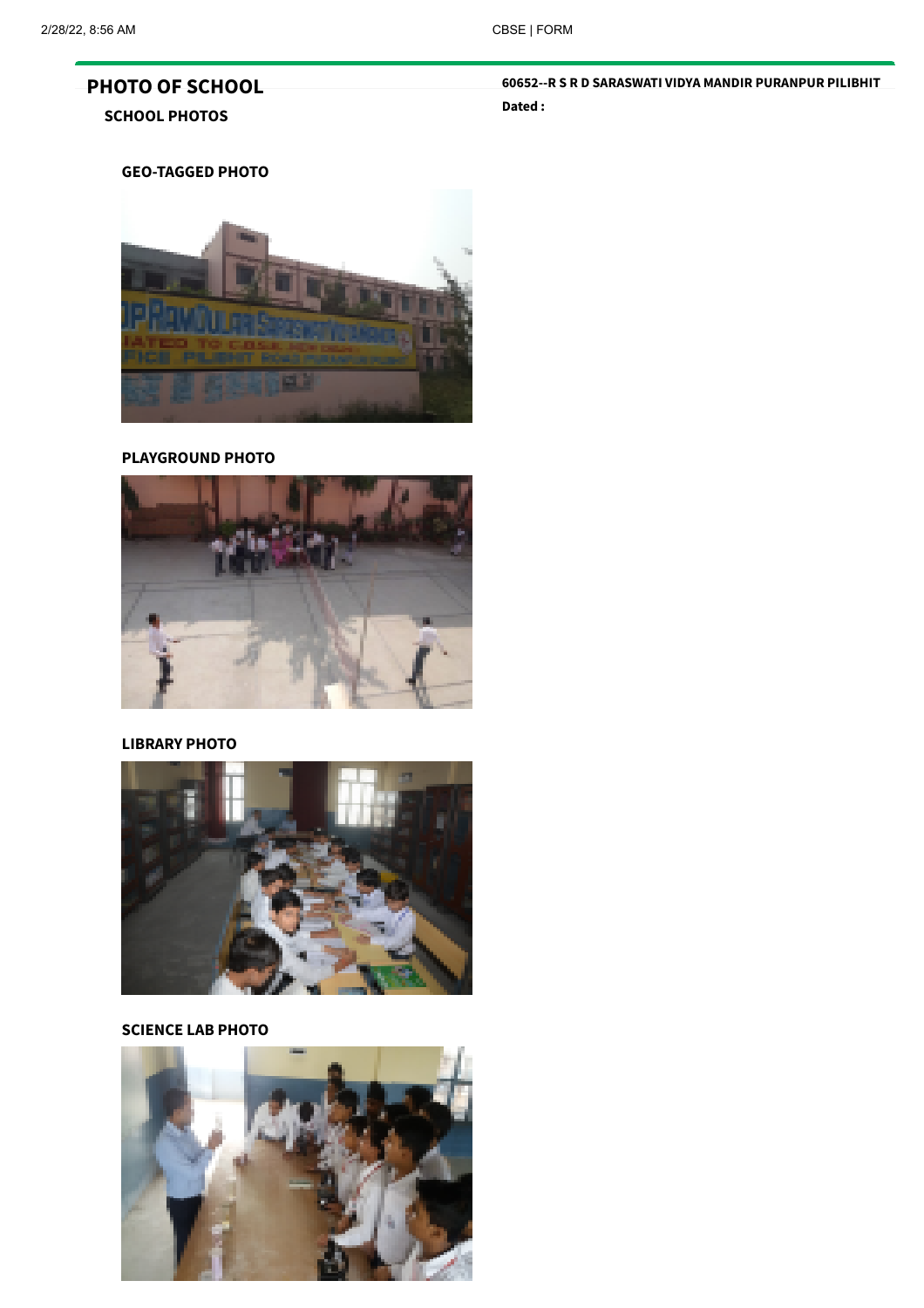# PHOTO OF SCHOOL SCHOOL PHOTOS

### 60652--R S R D SARASWATI VIDYA MANDIR PURANPUR PILIBHIT Dated :

GEO-TAGGED PHOTO



#### PLAYGROUND PHOTO



# LIBRARY PHOTO



# SCIENCE LAB PHOTO

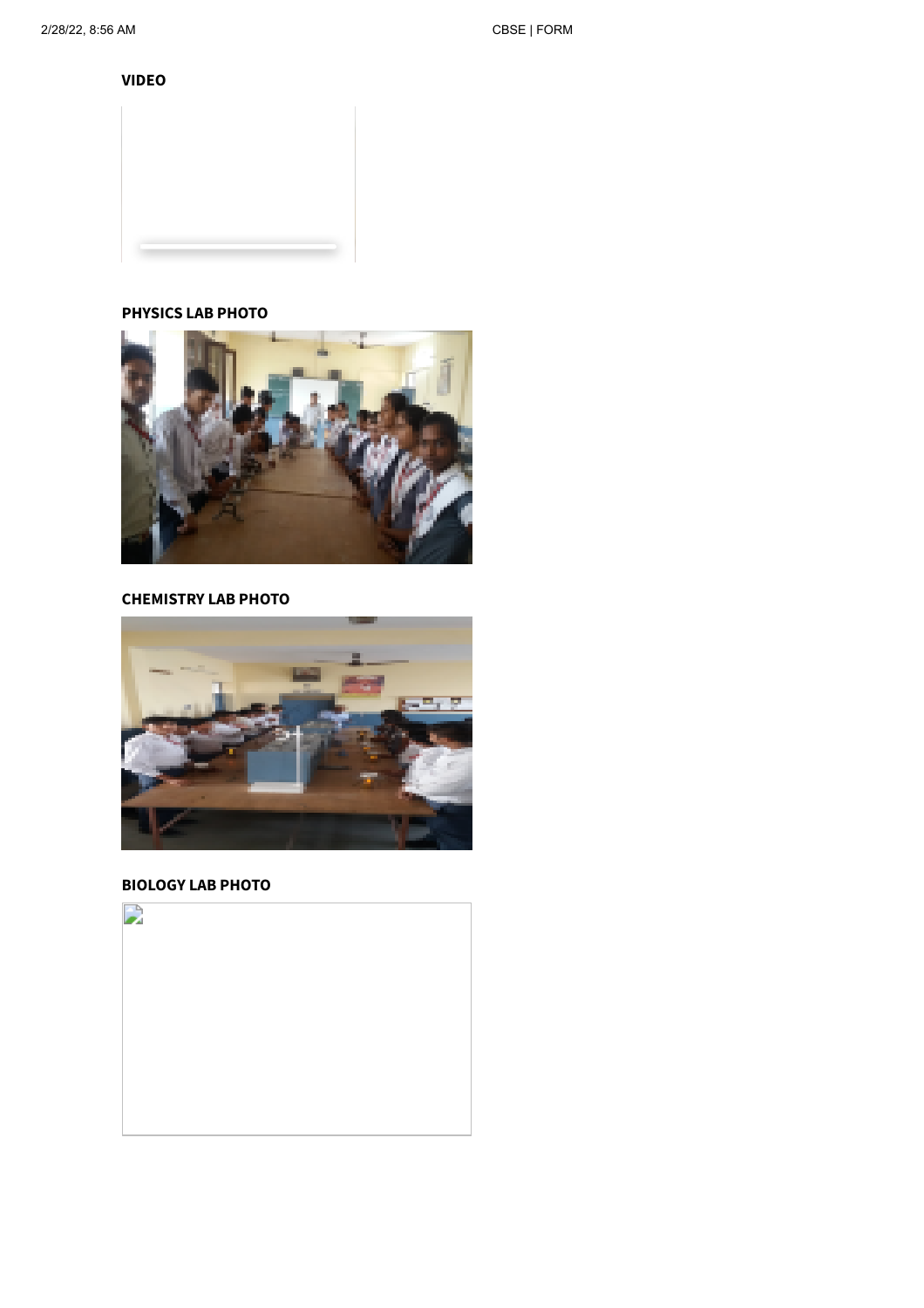VIDEO





# CHEMISTRY LAB PHOTO



### BIOLOGY LAB PHOTO

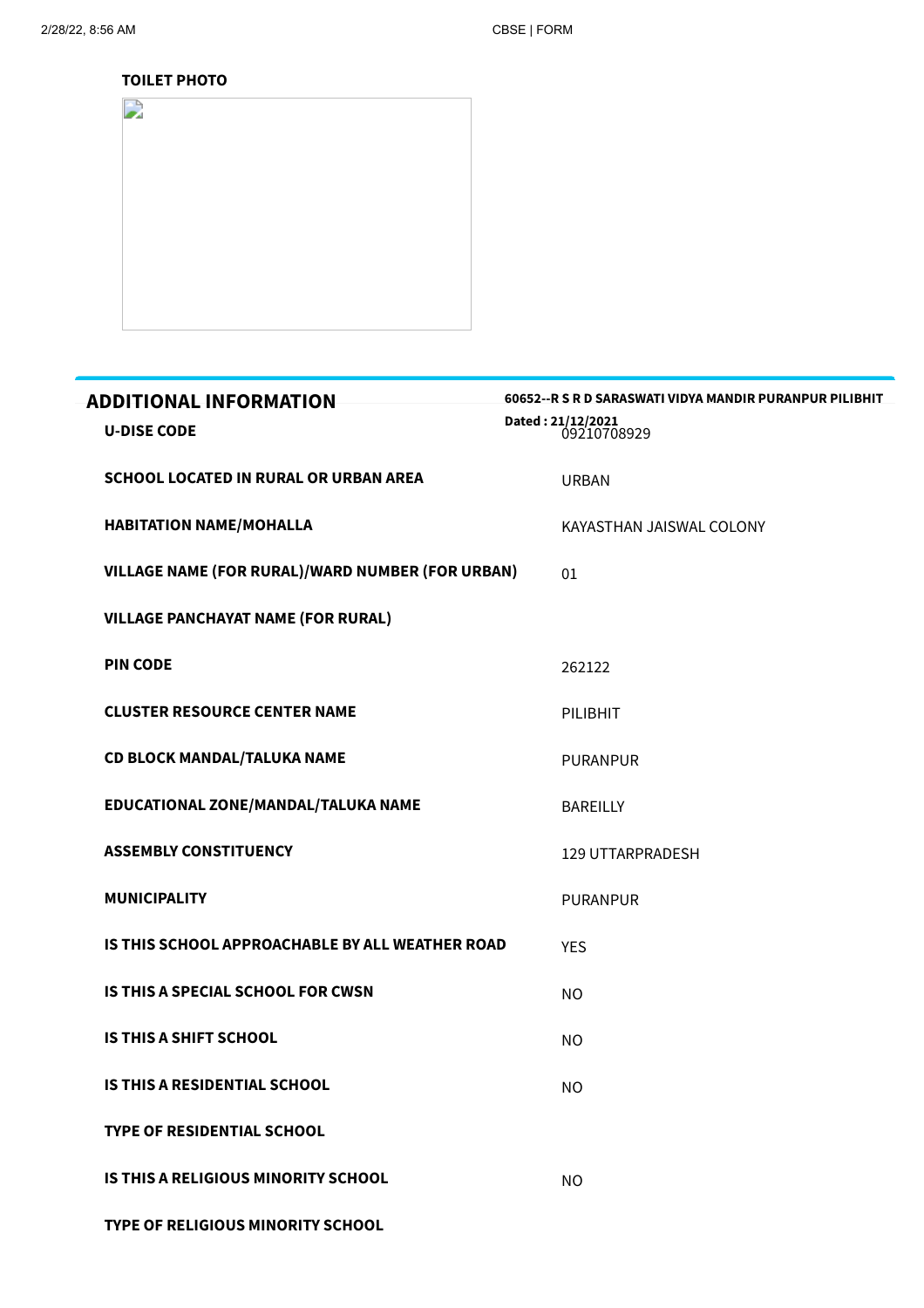#### TOILET PHOTO



| <b>ADDITIONAL INFORMATION</b>                           | 60652 -- R S R D SARASWATI VIDYA MANDIR PURANPUR PILIBHIT |
|---------------------------------------------------------|-----------------------------------------------------------|
| <b>U-DISE CODE</b>                                      | Dated: 21/12/2021<br>09210708929                          |
| SCHOOL LOCATED IN RURAL OR URBAN AREA                   | <b>URBAN</b>                                              |
| <b>HABITATION NAME/MOHALLA</b>                          | KAYASTHAN JAISWAL COLONY                                  |
| <b>VILLAGE NAME (FOR RURAL)/WARD NUMBER (FOR URBAN)</b> | 01                                                        |
| <b>VILLAGE PANCHAYAT NAME (FOR RURAL)</b>               |                                                           |
| <b>PIN CODE</b>                                         | 262122                                                    |
| <b>CLUSTER RESOURCE CENTER NAME</b>                     | PILIBHIT                                                  |
| <b>CD BLOCK MANDAL/TALUKA NAME</b>                      | <b>PURANPUR</b>                                           |
| EDUCATIONAL ZONE/MANDAL/TALUKA NAME                     | <b>BAREILLY</b>                                           |
| <b>ASSEMBLY CONSTITUENCY</b>                            | <b>129 UTTARPRADESH</b>                                   |
| <b>MUNICIPALITY</b>                                     | <b>PURANPUR</b>                                           |
| IS THIS SCHOOL APPROACHABLE BY ALL WEATHER ROAD         | <b>YES</b>                                                |
| IS THIS A SPECIAL SCHOOL FOR CWSN                       | NO.                                                       |
| <b>IS THIS A SHIFT SCHOOL</b>                           | <b>NO</b>                                                 |
| <b>IS THIS A RESIDENTIAL SCHOOL</b>                     | <b>NO</b>                                                 |
| <b>TYPE OF RESIDENTIAL SCHOOL</b>                       |                                                           |
| IS THIS A RELIGIOUS MINORITY SCHOOL                     | <b>NO</b>                                                 |
|                                                         |                                                           |

TYPE OF RELIGIOUS MINORITY SCHOOL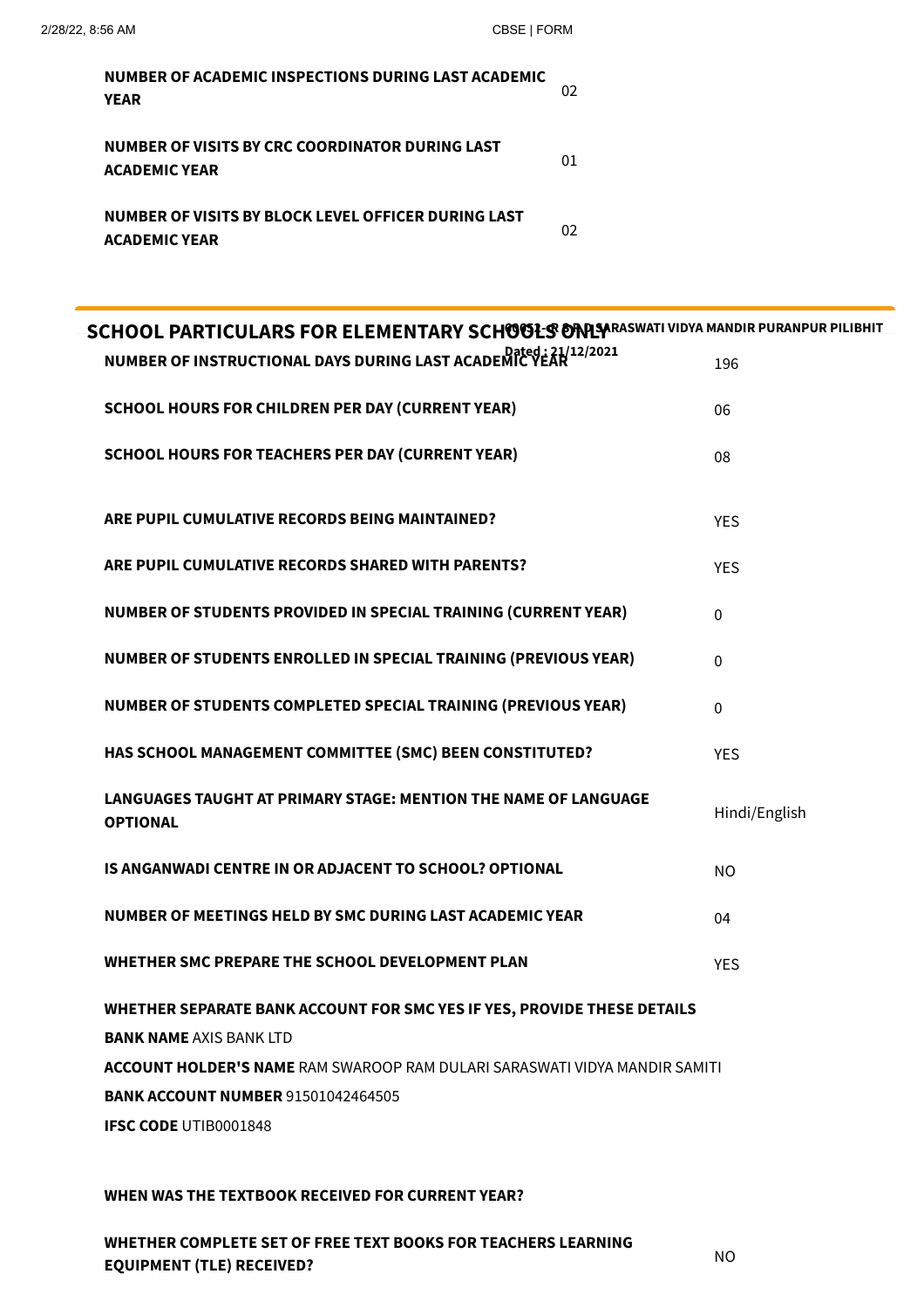| NUMBER OF ACADEMIC INSPECTIONS DURING LAST ACADEMIC<br><b>YEAR</b>          | OŽ |
|-----------------------------------------------------------------------------|----|
| NUMBER OF VISITS BY CRC COORDINATOR DURING LAST<br><b>ACADEMIC YEAR</b>     | 01 |
| NUMBER OF VISITS BY BLOCK LEVEL OFFICER DURING LAST<br><b>ACADEMIC YEAR</b> |    |

| <b>SCHOOL PARTICULARS FOR ELEMENTARY SCHOOLS ONLY PRASSWATI VIDYA MANDIR PURANPUR PILIBHIT</b> |               |
|------------------------------------------------------------------------------------------------|---------------|
| NUMBER OF INSTRUCTIONAL DAYS DURING LAST ACADEMIC YEAR 12/2021                                 | 196           |
| <b>SCHOOL HOURS FOR CHILDREN PER DAY (CURRENT YEAR)</b>                                        | 06            |
| <b>SCHOOL HOURS FOR TEACHERS PER DAY (CURRENT YEAR)</b>                                        | 08            |
| ARE PUPIL CUMULATIVE RECORDS BEING MAINTAINED?                                                 | <b>YES</b>    |
| ARE PUPIL CUMULATIVE RECORDS SHARED WITH PARENTS?                                              | <b>YES</b>    |
| NUMBER OF STUDENTS PROVIDED IN SPECIAL TRAINING (CURRENT YEAR)                                 | $\mathbf 0$   |
| NUMBER OF STUDENTS ENROLLED IN SPECIAL TRAINING (PREVIOUS YEAR)                                | $\mathbf 0$   |
| NUMBER OF STUDENTS COMPLETED SPECIAL TRAINING (PREVIOUS YEAR)                                  | $\mathbf 0$   |
| HAS SCHOOL MANAGEMENT COMMITTEE (SMC) BEEN CONSTITUTED?                                        | <b>YES</b>    |
| LANGUAGES TAUGHT AT PRIMARY STAGE: MENTION THE NAME OF LANGUAGE<br><b>OPTIONAL</b>             | Hindi/English |
| IS ANGANWADI CENTRE IN OR ADJACENT TO SCHOOL? OPTIONAL                                         | <b>NO</b>     |
| NUMBER OF MEETINGS HELD BY SMC DURING LAST ACADEMIC YEAR                                       | 04            |
| WHETHER SMC PREPARE THE SCHOOL DEVELOPMENT PLAN                                                | <b>YES</b>    |
| WHETHER SEPARATE BANK ACCOUNT FOR SMC YES IF YES, PROVIDE THESE DETAILS                        |               |
| <b>BANK NAME AXIS BANK LTD</b>                                                                 |               |
| <b>ACCOUNT HOLDER'S NAME</b> RAM SWAROOP RAM DULARI SARASWATI VIDYA MANDIR SAMITI              |               |
| <b>BANK ACCOUNT NUMBER 91501042464505</b>                                                      |               |
| <b>IFSC CODE UTIB0001848</b>                                                                   |               |

#### WHEN WAS THE TEXTBOOK RECEIVED FOR CURRENT YEAR?

WHETHER COMPLETE SET OF FREE TEXT BOOKS FOR TEACHERS LEARNING EQUIPMENT (TLE) RECEIVED?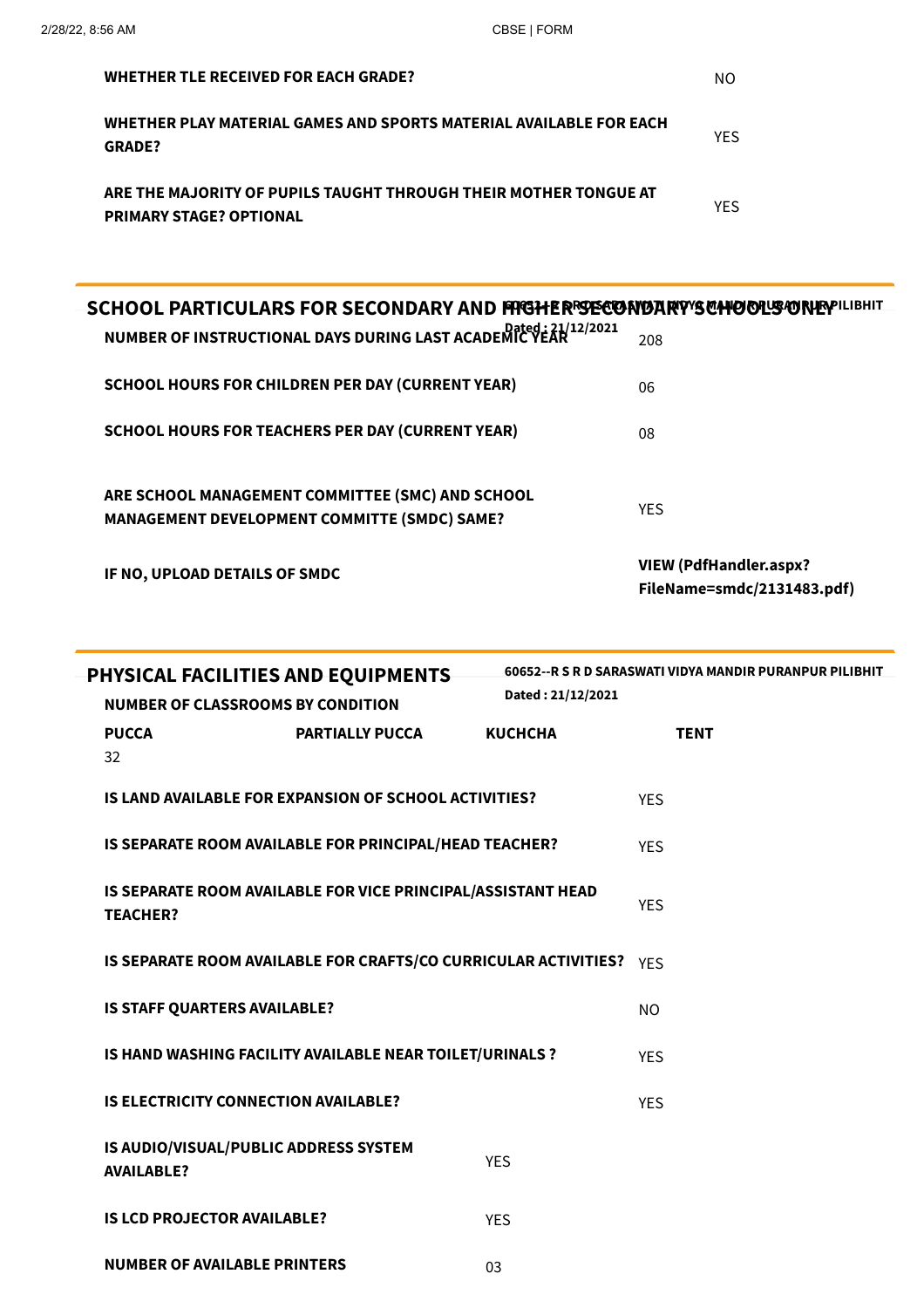| <b>WHETHER TLE RECEIVED FOR EACH GRADE?</b>                                                        | ΝO         |
|----------------------------------------------------------------------------------------------------|------------|
| WHETHER PLAY MATERIAL GAMES AND SPORTS MATERIAL AVAILABLE FOR EACH<br><b>GRADE?</b>                | <b>YFS</b> |
| ARE THE MAJORITY OF PUPILS TAUGHT THROUGH THEIR MOTHER TONGUE AT<br><b>PRIMARY STAGE? OPTIONAL</b> | <b>YFS</b> |

| SCHOOL PARTICULARS FOR SECONDARY AND FRIGHER SECONDARY'S CHOOLS ONE PILIBRIT                            |                                                      |
|---------------------------------------------------------------------------------------------------------|------------------------------------------------------|
| NUMBER OF INSTRUCTIONAL DAYS DURING LAST ACADEMIC YEAR 12/2021                                          | 208                                                  |
| <b>SCHOOL HOURS FOR CHILDREN PER DAY (CURRENT YEAR)</b>                                                 | 06                                                   |
| <b>SCHOOL HOURS FOR TEACHERS PER DAY (CURRENT YEAR)</b>                                                 | 08                                                   |
| ARE SCHOOL MANAGEMENT COMMITTEE (SMC) AND SCHOOL<br><b>MANAGEMENT DEVELOPMENT COMMITTE (SMDC) SAME?</b> | <b>YFS</b>                                           |
| IF NO, UPLOAD DETAILS OF SMDC                                                                           | VIEW (PdfHandler.aspx?<br>FileName=smdc/2131483.pdf) |

| PHYSICAL FACILITIES AND EQUIPMENTS                         |                                                                     |                   | 60652 -- R S R D SARASWATI VIDYA MANDIR PURANPUR PILIBHIT |
|------------------------------------------------------------|---------------------------------------------------------------------|-------------------|-----------------------------------------------------------|
| <b>NUMBER OF CLASSROOMS BY CONDITION</b>                   |                                                                     | Dated: 21/12/2021 |                                                           |
| <b>PUCCA</b>                                               | <b>PARTIALLY PUCCA</b>                                              | <b>KUCHCHA</b>    | <b>TENT</b>                                               |
| 32                                                         |                                                                     |                   |                                                           |
|                                                            | <b>IS LAND AVAILABLE FOR EXPANSION OF SCHOOL ACTIVITIES?</b>        |                   | <b>YES</b>                                                |
|                                                            | IS SEPARATE ROOM AVAILABLE FOR PRINCIPAL/HEAD TEACHER?              |                   | <b>YES</b>                                                |
| <b>TEACHER?</b>                                            | IS SEPARATE ROOM AVAILABLE FOR VICE PRINCIPAL/ASSISTANT HEAD        |                   | <b>YFS</b>                                                |
|                                                            | IS SEPARATE ROOM AVAILABLE FOR CRAFTS/CO CURRICULAR ACTIVITIES? YES |                   |                                                           |
| IS STAFF QUARTERS AVAILABLE?                               |                                                                     |                   | N <sub>O</sub>                                            |
|                                                            | IS HAND WASHING FACILITY AVAILABLE NEAR TOILET/URINALS ?            |                   | <b>YES</b>                                                |
| <b>IS ELECTRICITY CONNECTION AVAILABLE?</b>                |                                                                     |                   | <b>YES</b>                                                |
| IS AUDIO/VISUAL/PUBLIC ADDRESS SYSTEM<br><b>AVAILABLE?</b> |                                                                     | <b>YES</b>        |                                                           |
| <b>IS LCD PROJECTOR AVAILABLE?</b>                         |                                                                     | <b>YES</b>        |                                                           |
| <b>NUMBER OF AVAILABLE PRINTERS</b>                        |                                                                     | 03                |                                                           |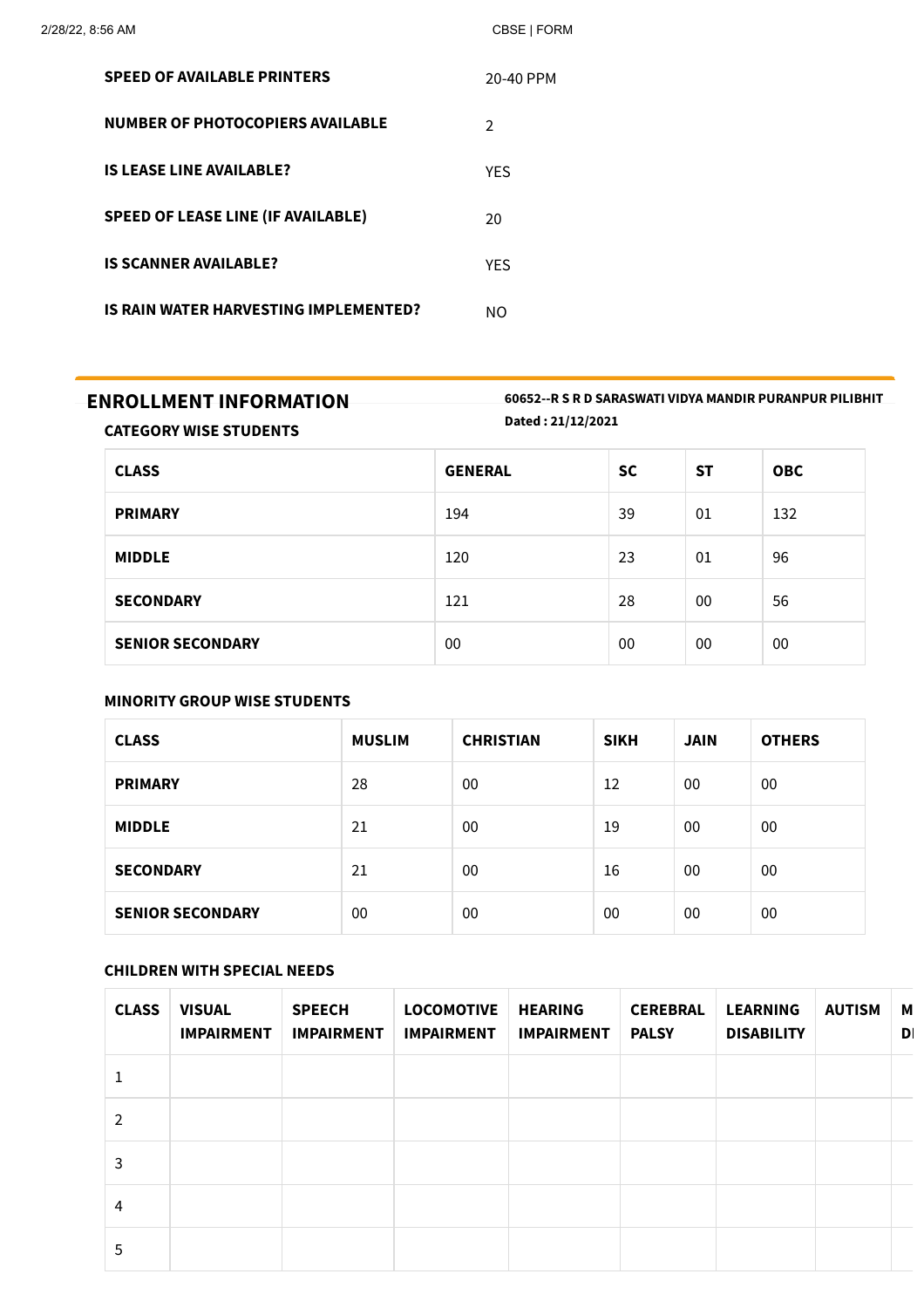| <b>SPEED OF AVAILABLE PRINTERS</b>           | 20-40 PPM     |
|----------------------------------------------|---------------|
| <b>NUMBER OF PHOTOCOPIERS AVAILABLE</b>      | $\mathcal{P}$ |
| <b>IS LEASE LINE AVAILABLE?</b>              | <b>YFS</b>    |
| <b>SPEED OF LEASE LINE (IF AVAILABLE)</b>    | 20            |
| <b>IS SCANNER AVAILABLE?</b>                 | <b>YFS</b>    |
| <b>IS RAIN WATER HARVESTING IMPLEMENTED?</b> | NΩ            |

ENROLLMENT INFORMATION 60652--R <sup>S</sup> <sup>R</sup> <sup>D</sup> SARASWATI VIDYA MANDIR PURANPUR PILIBHIT Dated : 21/12/2021

CATEGORY WISE STUDENTS

| <b>CLASS</b>            | <b>GENERAL</b> | <b>SC</b> | <b>ST</b> | <b>OBC</b> |
|-------------------------|----------------|-----------|-----------|------------|
| <b>PRIMARY</b>          | 194            | 39        | 01        | 132        |
| <b>MIDDLE</b>           | 120            | 23        | 01        | 96         |
| <b>SECONDARY</b>        | 121            | 28        | 00        | 56         |
| <b>SENIOR SECONDARY</b> | 00             | 00        | 00        | 00         |

# MINORITY GROUP WISE STUDENTS

| <b>CLASS</b>            | <b>MUSLIM</b> | <b>CHRISTIAN</b> | <b>SIKH</b> | <b>JAIN</b> | <b>OTHERS</b> |
|-------------------------|---------------|------------------|-------------|-------------|---------------|
| <b>PRIMARY</b>          | 28            | 00               | 12          | 00          | 00            |
| <b>MIDDLE</b>           | 21            | 00               | 19          | 00          | 00            |
| <b>SECONDARY</b>        | 21            | 00               | 16          | 00          | 00            |
| <b>SENIOR SECONDARY</b> | 00            | 00               | 00          | 00          | 00            |

# CHILDREN WITH SPECIAL NEEDS

| <b>CLASS</b>   | <b>VISUAL</b><br><b>IMPAIRMENT</b> | <b>SPEECH</b><br><b>IMPAIRMENT</b> | <b>LOCOMOTIVE</b><br><b>IMPAIRMENT</b> | <b>HEARING</b><br><b>IMPAIRMENT</b> | <b>CEREBRAL</b><br><b>PALSY</b> | <b>LEARNING</b><br><b>DISABILITY</b> | <b>AUTISM</b> | M<br>D |
|----------------|------------------------------------|------------------------------------|----------------------------------------|-------------------------------------|---------------------------------|--------------------------------------|---------------|--------|
|                |                                    |                                    |                                        |                                     |                                 |                                      |               |        |
| $\mathcal{P}$  |                                    |                                    |                                        |                                     |                                 |                                      |               |        |
| 3              |                                    |                                    |                                        |                                     |                                 |                                      |               |        |
| $\overline{4}$ |                                    |                                    |                                        |                                     |                                 |                                      |               |        |
| 5              |                                    |                                    |                                        |                                     |                                 |                                      |               |        |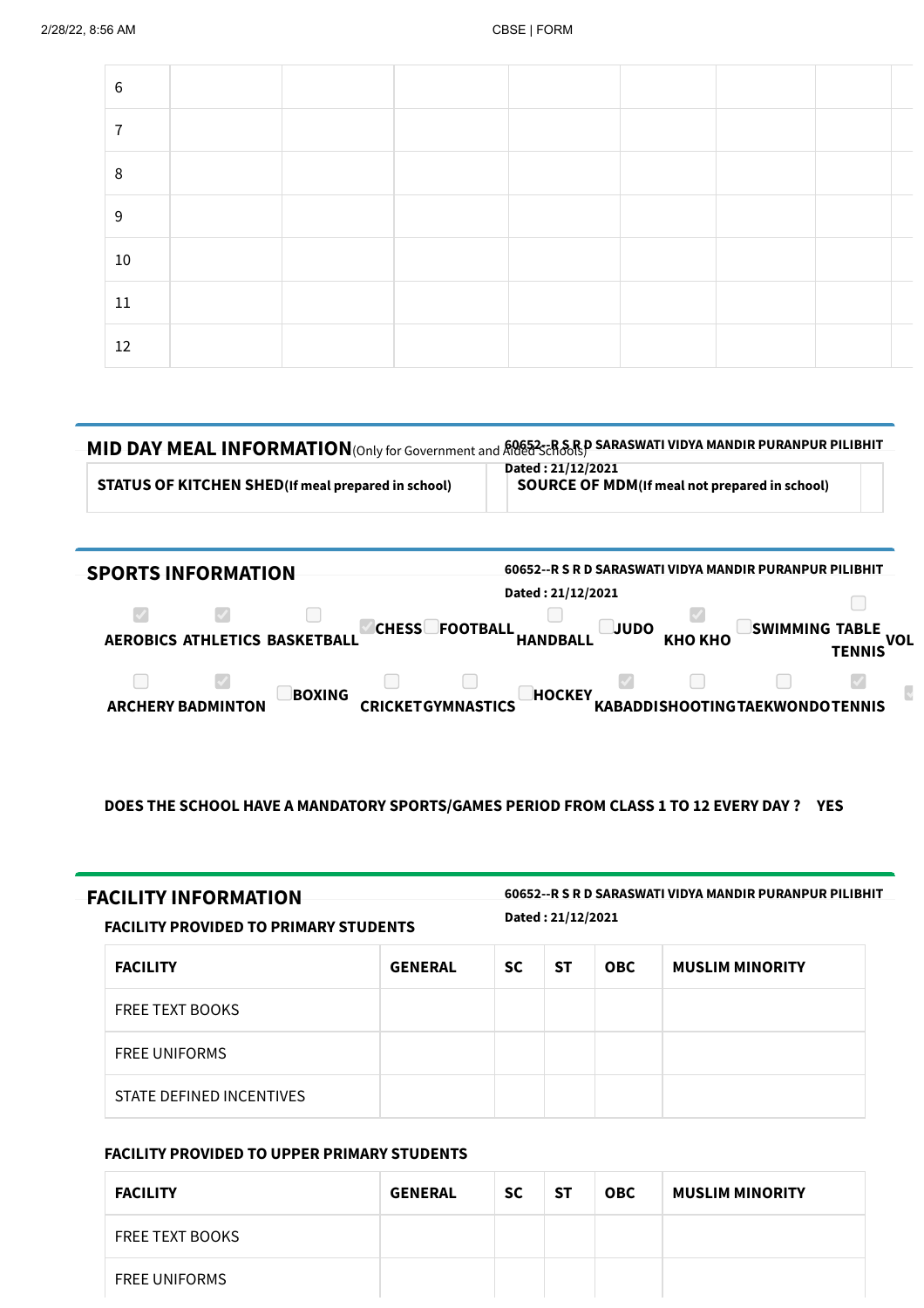| 6               |  |  |  |  |
|-----------------|--|--|--|--|
| $\overline{ }$  |  |  |  |  |
| 8               |  |  |  |  |
| 9               |  |  |  |  |
| 10 <sup>°</sup> |  |  |  |  |
| $11\,$          |  |  |  |  |
| 12              |  |  |  |  |

| <b>MID DAY MEAL INFORMATION</b> (Only for Government and ROG523-RSRD SARASWATI VIDYA MANDIR PURANPUR PILIBHIT |                                                                            |
|---------------------------------------------------------------------------------------------------------------|----------------------------------------------------------------------------|
| <b>STATUS OF KITCHEN SHED</b> (If meal prepared in school)                                                    | Dated: 21/12/2021<br><b>SOURCE OF MDM</b> (If meal not prepared in school) |

| <b>SPORTS INFORMATION</b>                             | 60652--R S R D SARASWATI VIDYA MANDIR PURANPUR PILIBHIT                      |                                       |
|-------------------------------------------------------|------------------------------------------------------------------------------|---------------------------------------|
|                                                       | Dated: 21/12/2021                                                            |                                       |
| $\blacktriangledown$<br>AEROBICS ATHLETICS BASKETBALL | <b>CHESS</b><br><b>JUDO</b><br><b>FOOTBALL</b><br>КНО КНО<br><b>HANDBALL</b> | SWIMMING TABLE<br>VOL<br>TENNIS       |
| <b>BOXING</b><br><b>ARCHERY BADMINTON</b>             | <b>HOCKEY</b><br><b>CRICKETGYMNASTICS</b>                                    | <b>KABADDISHOOTINGTAEKWONDOTENNIS</b> |

DOES THE SCHOOL HAVE A MANDATORY SPORTS/GAMES PERIOD FROM CLASS 1 TO 12 EVERY DAY ? YES

FACILITY INFORMATION 60652--R <sup>S</sup> <sup>R</sup> <sup>D</sup> SARASWATI VIDYA MANDIR PURANPUR PILIBHIT Dated : 21/12/2021

FACILITY PROVIDED TO PRIMARY STUDENTS

| <b>FACILITY</b>          | <b>GENERAL</b> | SC. | <b>ST</b> | <b>OBC</b> | <b>MUSLIM MINORITY</b> |
|--------------------------|----------------|-----|-----------|------------|------------------------|
| <b>FREE TEXT BOOKS</b>   |                |     |           |            |                        |
| <b>FREE UNIFORMS</b>     |                |     |           |            |                        |
| STATE DEFINED INCENTIVES |                |     |           |            |                        |

## FACILITY PROVIDED TO UPPER PRIMARY STUDENTS

| <b>FACILITY</b>        | <b>GENERAL</b> | <b>SC</b> | -ST | <b>OBC</b> | <b>MUSLIM MINORITY</b> |
|------------------------|----------------|-----------|-----|------------|------------------------|
| <b>FREE TEXT BOOKS</b> |                |           |     |            |                        |
| <b>FREE UNIFORMS</b>   |                |           |     |            |                        |